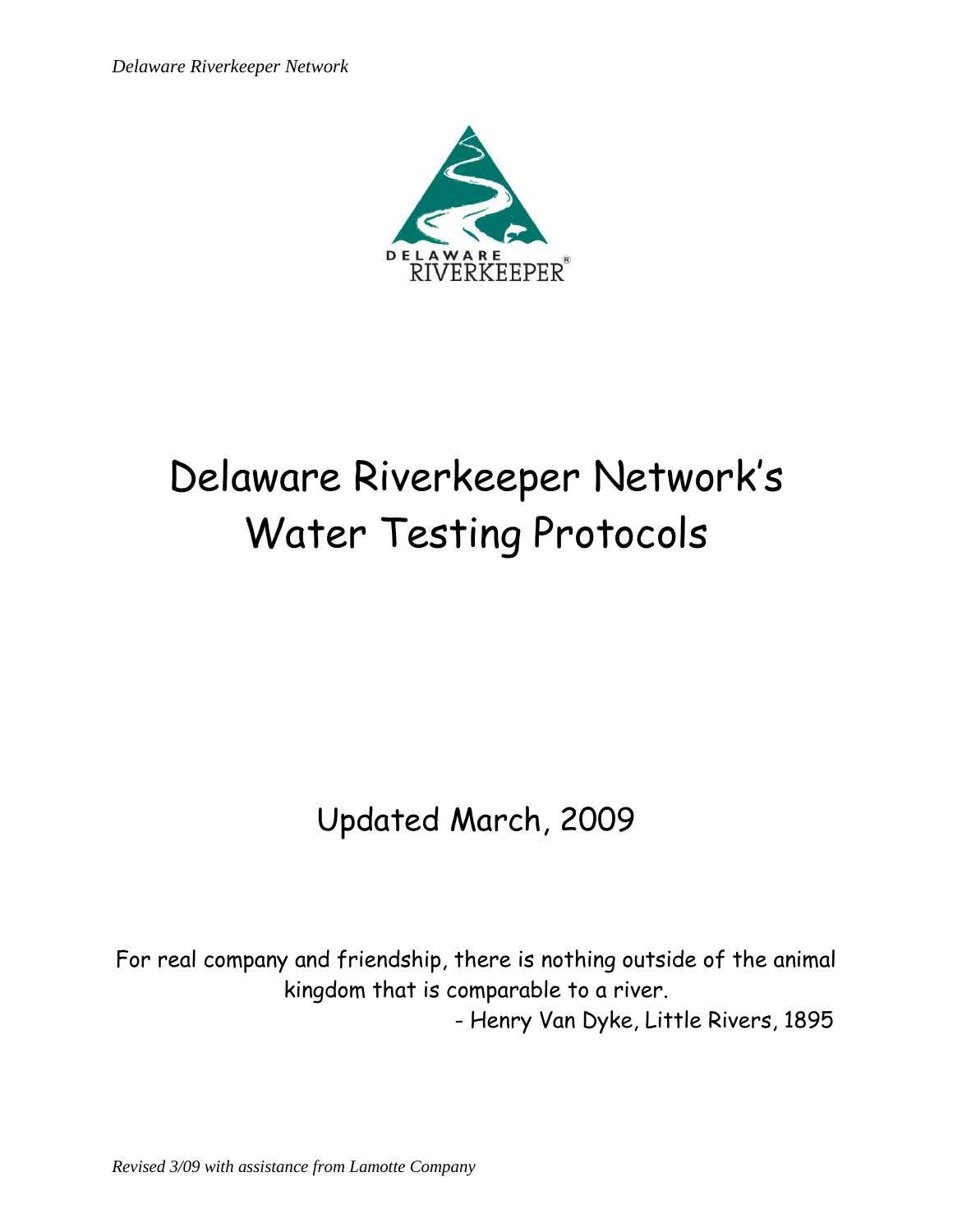*Delaware Riverkeeper Network*



# Delaware Riverkeeper Network's Water Testing Protocols

Updated March, 2009

For real company and friendship, there is nothing outside of the animal kingdom that is comparable to a river.

- Henry Van Dyke, Little Rivers, 1895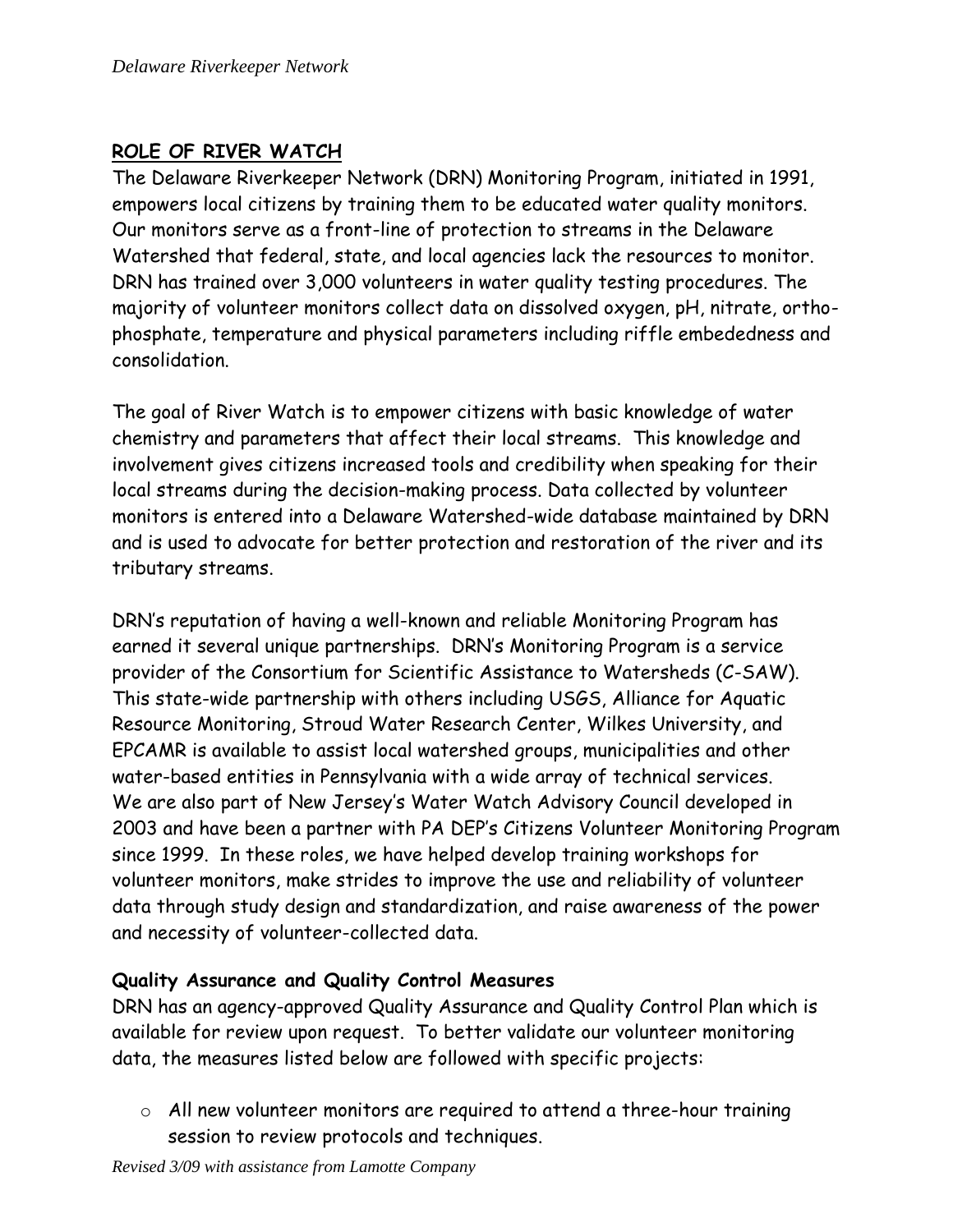# **ROLE OF RIVER WATCH**

The Delaware Riverkeeper Network (DRN) Monitoring Program, initiated in 1991, empowers local citizens by training them to be educated water quality monitors. Our monitors serve as a front-line of protection to streams in the Delaware Watershed that federal, state, and local agencies lack the resources to monitor. DRN has trained over 3,000 volunteers in water quality testing procedures. The majority of volunteer monitors collect data on dissolved oxygen, pH, nitrate, orthophosphate, temperature and physical parameters including riffle embededness and consolidation.

The goal of River Watch is to empower citizens with basic knowledge of water chemistry and parameters that affect their local streams. This knowledge and involvement gives citizens increased tools and credibility when speaking for their local streams during the decision-making process. Data collected by volunteer monitors is entered into a Delaware Watershed-wide database maintained by DRN and is used to advocate for better protection and restoration of the river and its tributary streams.

DRN's reputation of having a well-known and reliable Monitoring Program has earned it several unique partnerships. DRN's Monitoring Program is a service provider of the Consortium for Scientific Assistance to Watersheds (C-SAW). This state-wide partnership with others including USGS, Alliance for Aquatic Resource Monitoring, Stroud Water Research Center, Wilkes University, and EPCAMR is available to assist local watershed groups, municipalities and other water-based entities in Pennsylvania with a wide array of technical services. We are also part of New Jersey's Water Watch Advisory Council developed in 2003 and have been a partner with PA DEP's Citizens Volunteer Monitoring Program since 1999. In these roles, we have helped develop training workshops for volunteer monitors, make strides to improve the use and reliability of volunteer data through study design and standardization, and raise awareness of the power and necessity of volunteer-collected data.

# **Quality Assurance and Quality Control Measures**

DRN has an agency-approved Quality Assurance and Quality Control Plan which is available for review upon request. To better validate our volunteer monitoring data, the measures listed below are followed with specific projects:

o All new volunteer monitors are required to attend a three-hour training session to review protocols and techniques.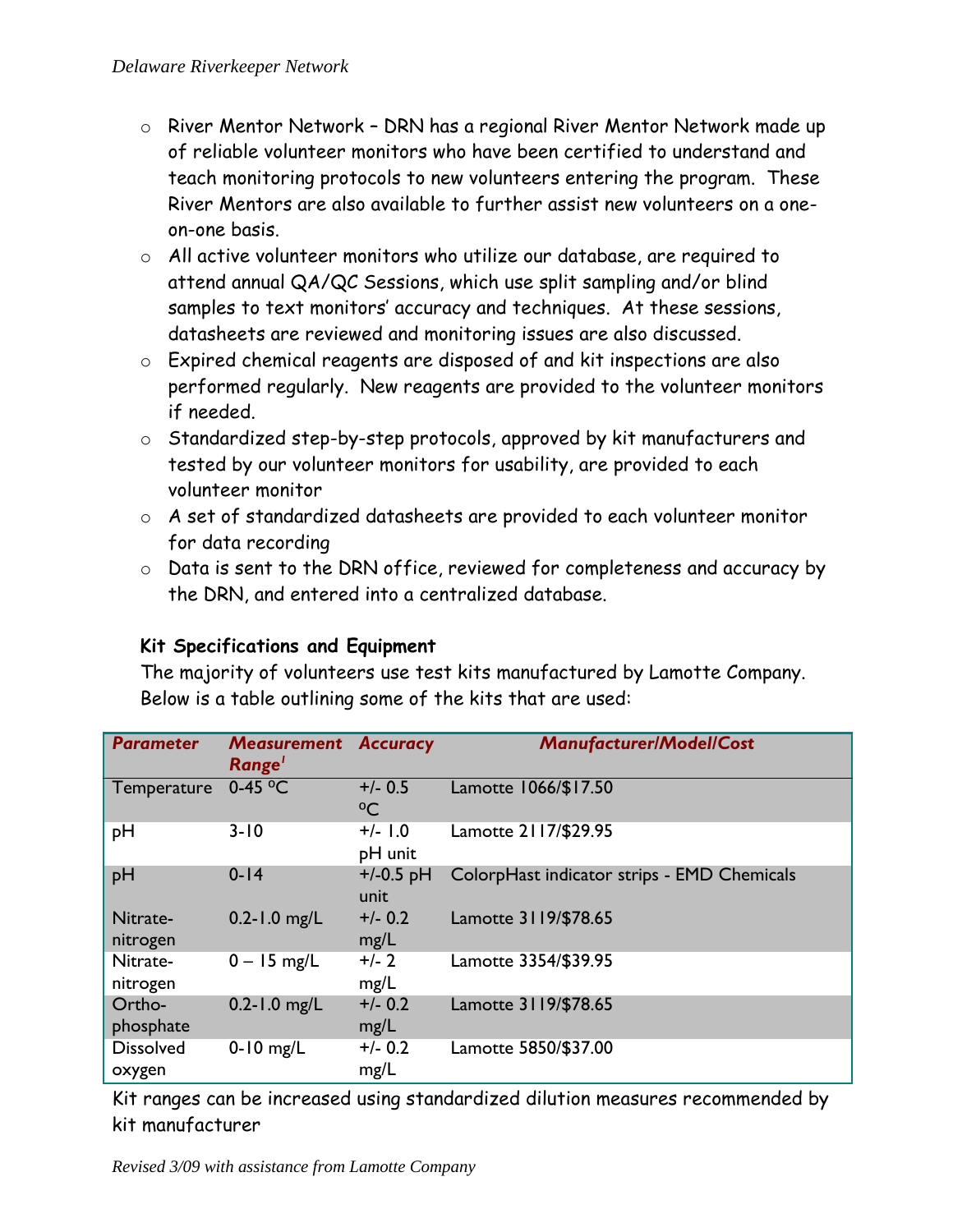- o River Mentor Network DRN has a regional River Mentor Network made up of reliable volunteer monitors who have been certified to understand and teach monitoring protocols to new volunteers entering the program. These River Mentors are also available to further assist new volunteers on a oneon-one basis.
- o All active volunteer monitors who utilize our database, are required to attend annual QA/QC Sessions, which use split sampling and/or blind samples to text monitors' accuracy and techniques. At these sessions, datasheets are reviewed and monitoring issues are also discussed.
- o Expired chemical reagents are disposed of and kit inspections are also performed regularly. New reagents are provided to the volunteer monitors if needed.
- o Standardized step-by-step protocols, approved by kit manufacturers and tested by our volunteer monitors for usability, are provided to each volunteer monitor
- o A set of standardized datasheets are provided to each volunteer monitor for data recording
- o Data is sent to the DRN office, reviewed for completeness and accuracy by the DRN, and entered into a centralized database.

# **Kit Specifications and Equipment**

The majority of volunteers use test kits manufactured by Lamotte Company. Below is a table outlining some of the kits that are used:

| <b>Parameter</b>           | <b>Measurement</b><br>Range <sup>'</sup> | Accuracy                  | <b>Manufacturer/Model/Cost</b>              |
|----------------------------|------------------------------------------|---------------------------|---------------------------------------------|
| Temperature                | $0-45$ <sup>o</sup> C                    | $+/- 0.5$<br>$^{\circ}$ C | Lamotte 1066/\$17.50                        |
| pH                         | $3 - 10$                                 | $+/-$ 1.0<br>pH unit      | Lamotte 2117/\$29.95                        |
| pH                         | $0-14$                                   | $+/-0.5$ pH<br>unit       | ColorpHast indicator strips - EMD Chemicals |
| Nitrate-<br>nitrogen       | $0.2 - 1.0$ mg/L                         | $+/- 0.2$<br>mg/L         | Lamotte 3119/\$78.65                        |
| Nitrate-<br>nitrogen       | $0 - 15$ mg/L                            | $+/- 2$<br>mg/L           | Lamotte 3354/\$39.95                        |
| Ortho-<br>phosphate        | $0.2 - 1.0$ mg/L                         | $+/- 0.2$<br>mg/L         | Lamotte 3119/\$78.65                        |
| <b>Dissolved</b><br>oxygen | $0-10$ mg/L                              | $+/- 0.2$<br>mg/L         | Lamotte 5850/\$37.00                        |

Kit ranges can be increased using standardized dilution measures recommended by kit manufacturer

*Revised 3/09 with assistance from Lamotte Company*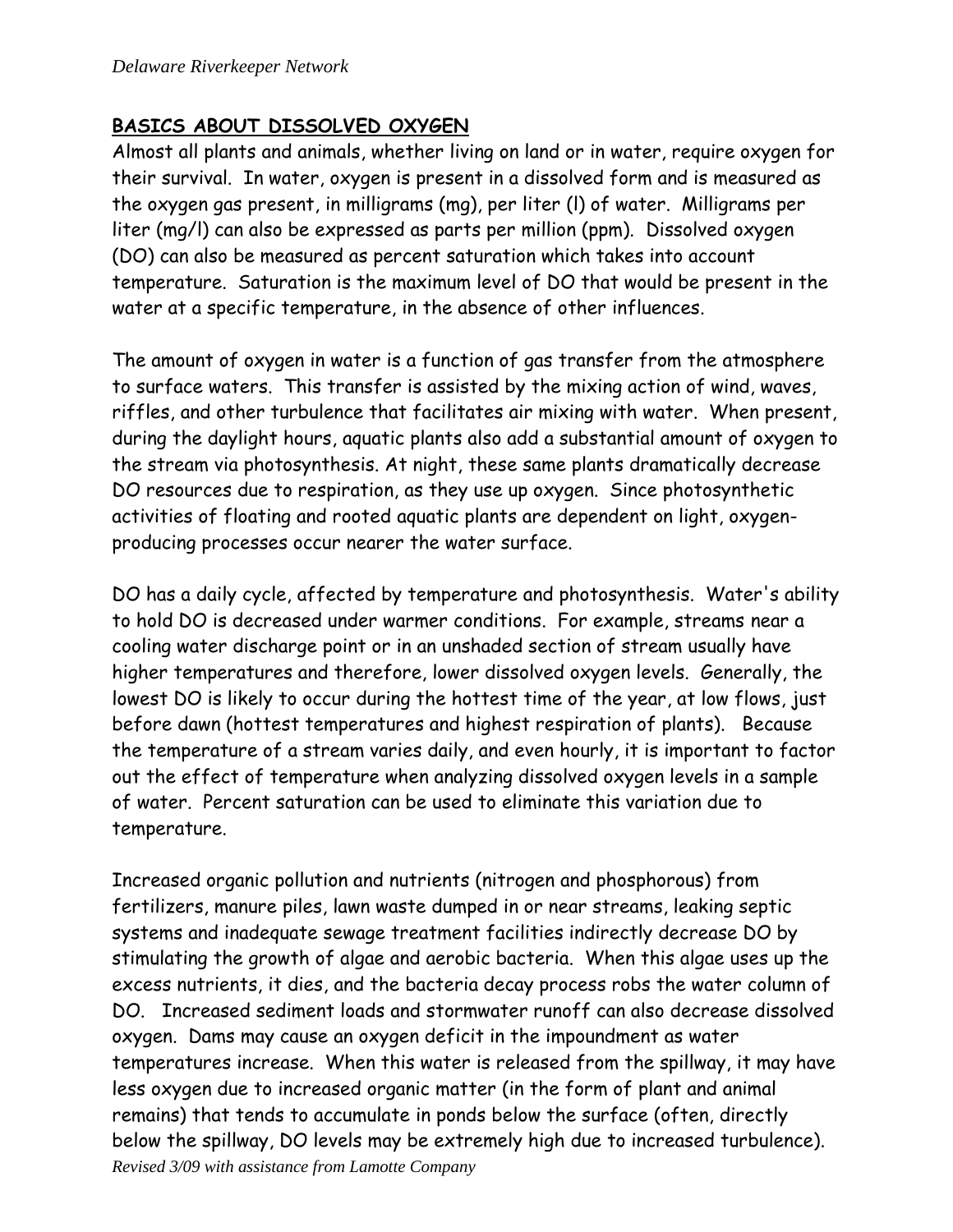#### **BASICS ABOUT DISSOLVED OXYGEN**

Almost all plants and animals, whether living on land or in water, require oxygen for their survival. In water, oxygen is present in a dissolved form and is measured as the oxygen gas present, in milligrams (mg), per liter (l) of water. Milligrams per liter (mg/l) can also be expressed as parts per million (ppm). Dissolved oxygen (DO) can also be measured as percent saturation which takes into account temperature. Saturation is the maximum level of DO that would be present in the water at a specific temperature, in the absence of other influences.

The amount of oxygen in water is a function of gas transfer from the atmosphere to surface waters. This transfer is assisted by the mixing action of wind, waves, riffles, and other turbulence that facilitates air mixing with water. When present, during the daylight hours, aquatic plants also add a substantial amount of oxygen to the stream via photosynthesis. At night, these same plants dramatically decrease DO resources due to respiration, as they use up oxygen. Since photosynthetic activities of floating and rooted aquatic plants are dependent on light, oxygenproducing processes occur nearer the water surface.

DO has a daily cycle, affected by temperature and photosynthesis. Water's ability to hold DO is decreased under warmer conditions. For example, streams near a cooling water discharge point or in an unshaded section of stream usually have higher temperatures and therefore, lower dissolved oxygen levels. Generally, the lowest DO is likely to occur during the hottest time of the year, at low flows, just before dawn (hottest temperatures and highest respiration of plants). Because the temperature of a stream varies daily, and even hourly, it is important to factor out the effect of temperature when analyzing dissolved oxygen levels in a sample of water. Percent saturation can be used to eliminate this variation due to temperature.

*Revised 3/09 with assistance from Lamotte Company* Increased organic pollution and nutrients (nitrogen and phosphorous) from fertilizers, manure piles, lawn waste dumped in or near streams, leaking septic systems and inadequate sewage treatment facilities indirectly decrease DO by stimulating the growth of algae and aerobic bacteria. When this algae uses up the excess nutrients, it dies, and the bacteria decay process robs the water column of DO. Increased sediment loads and stormwater runoff can also decrease dissolved oxygen. Dams may cause an oxygen deficit in the impoundment as water temperatures increase. When this water is released from the spillway, it may have less oxygen due to increased organic matter (in the form of plant and animal remains) that tends to accumulate in ponds below the surface (often, directly below the spillway, DO levels may be extremely high due to increased turbulence).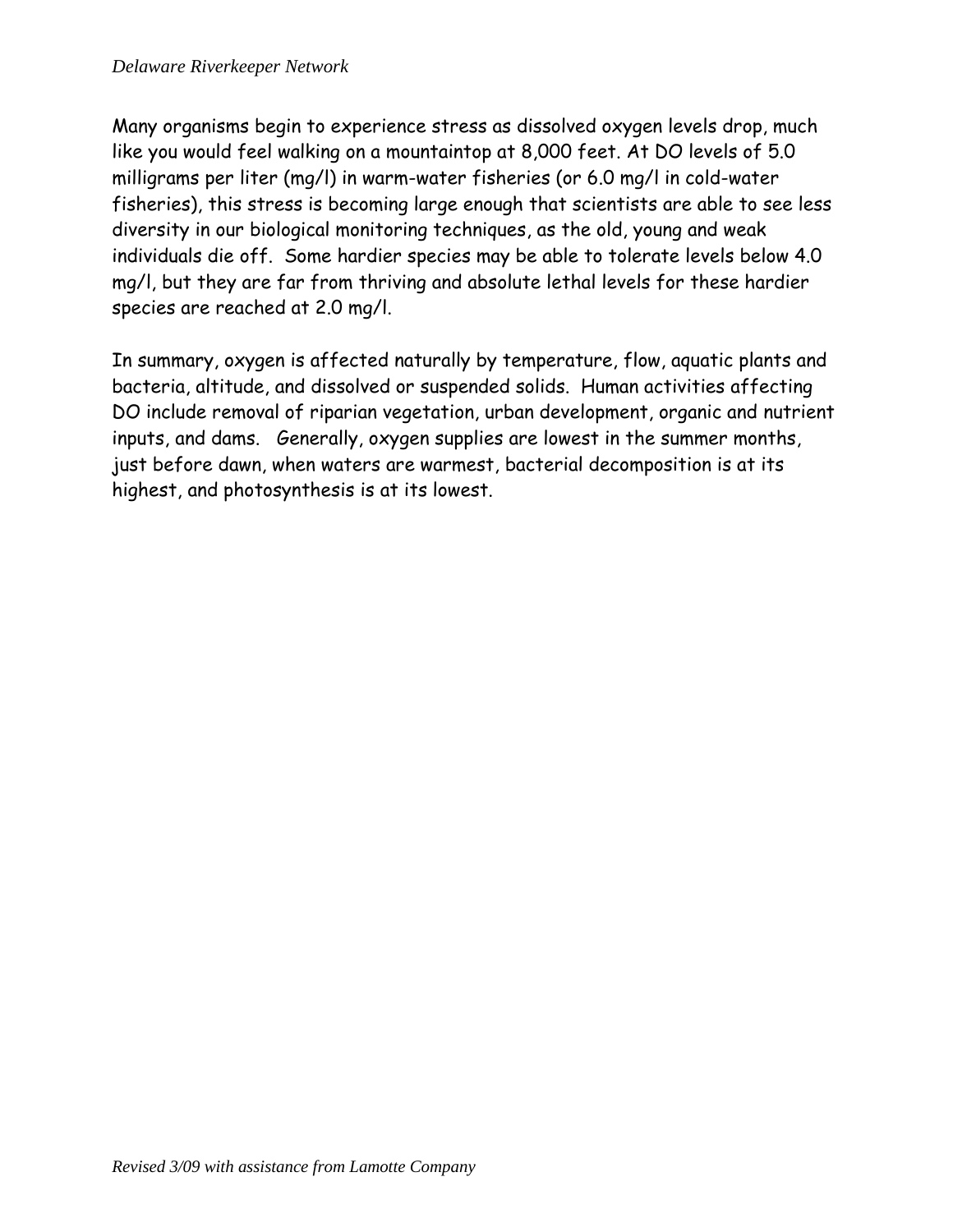Many organisms begin to experience stress as dissolved oxygen levels drop, much like you would feel walking on a mountaintop at 8,000 feet. At DO levels of 5.0 milligrams per liter (mg/l) in warm-water fisheries (or 6.0 mg/l in cold-water fisheries), this stress is becoming large enough that scientists are able to see less diversity in our biological monitoring techniques, as the old, young and weak individuals die off. Some hardier species may be able to tolerate levels below 4.0 mg/l, but they are far from thriving and absolute lethal levels for these hardier species are reached at 2.0 mg/l.

In summary, oxygen is affected naturally by temperature, flow, aquatic plants and bacteria, altitude, and dissolved or suspended solids. Human activities affecting DO include removal of riparian vegetation, urban development, organic and nutrient inputs, and dams. Generally, oxygen supplies are lowest in the summer months, just before dawn, when waters are warmest, bacterial decomposition is at its highest, and photosynthesis is at its lowest.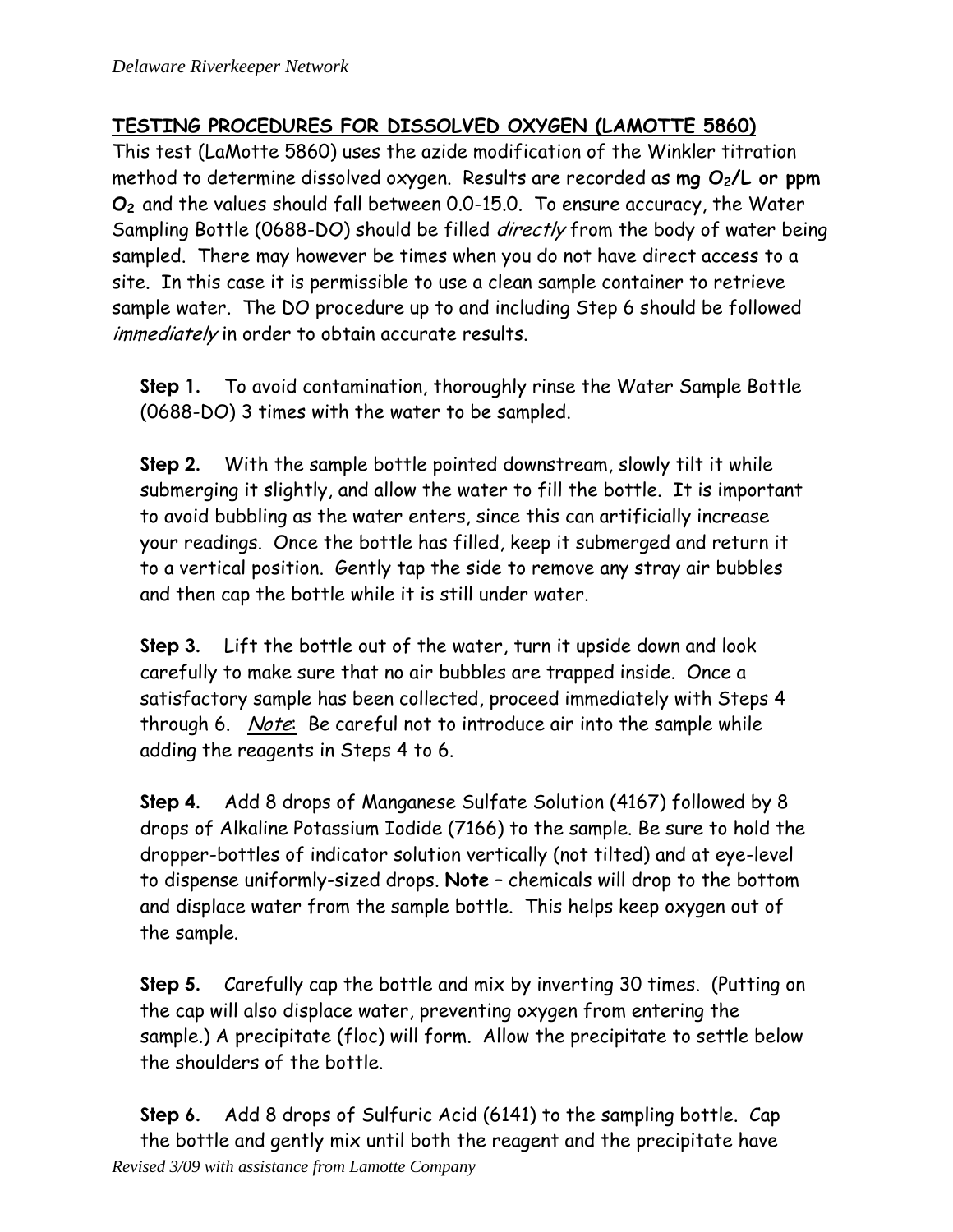# **TESTING PROCEDURES FOR DISSOLVED OXYGEN (LAMOTTE 5860)**

This test (LaMotte 5860) uses the azide modification of the Winkler titration method to determine dissolved oxygen. Results are recorded as **mg O2/L or ppm O<sup>2</sup>** and the values should fall between 0.0-15.0. To ensure accuracy, the Water Sampling Bottle (0688-DO) should be filled *directly* from the body of water being sampled. There may however be times when you do not have direct access to a site. In this case it is permissible to use a clean sample container to retrieve sample water. The DO procedure up to and including Step 6 should be followed immediately in order to obtain accurate results.

**Step 1.** To avoid contamination, thoroughly rinse the Water Sample Bottle (0688-DO) 3 times with the water to be sampled.

**Step 2.** With the sample bottle pointed downstream, slowly tilt it while submerging it slightly, and allow the water to fill the bottle. It is important to avoid bubbling as the water enters, since this can artificially increase your readings. Once the bottle has filled, keep it submerged and return it to a vertical position. Gently tap the side to remove any stray air bubbles and then cap the bottle while it is still under water.

**Step 3.** Lift the bottle out of the water, turn it upside down and look carefully to make sure that no air bubbles are trapped inside. Once a satisfactory sample has been collected, proceed immediately with Steps 4 through 6. Note: Be careful not to introduce air into the sample while adding the reagents in Steps 4 to 6.

**Step 4.** Add 8 drops of Manganese Sulfate Solution (4167) followed by 8 drops of Alkaline Potassium Iodide (7166) to the sample. Be sure to hold the dropper-bottles of indicator solution vertically (not tilted) and at eye-level to dispense uniformly-sized drops. **Note** – chemicals will drop to the bottom and displace water from the sample bottle. This helps keep oxygen out of the sample.

**Step 5.** Carefully cap the bottle and mix by inverting 30 times. (Putting on the cap will also displace water, preventing oxygen from entering the sample.) A precipitate (floc) will form. Allow the precipitate to settle below the shoulders of the bottle.

*Revised 3/09 with assistance from Lamotte Company* **Step 6.** Add 8 drops of Sulfuric Acid (6141) to the sampling bottle. Cap the bottle and gently mix until both the reagent and the precipitate have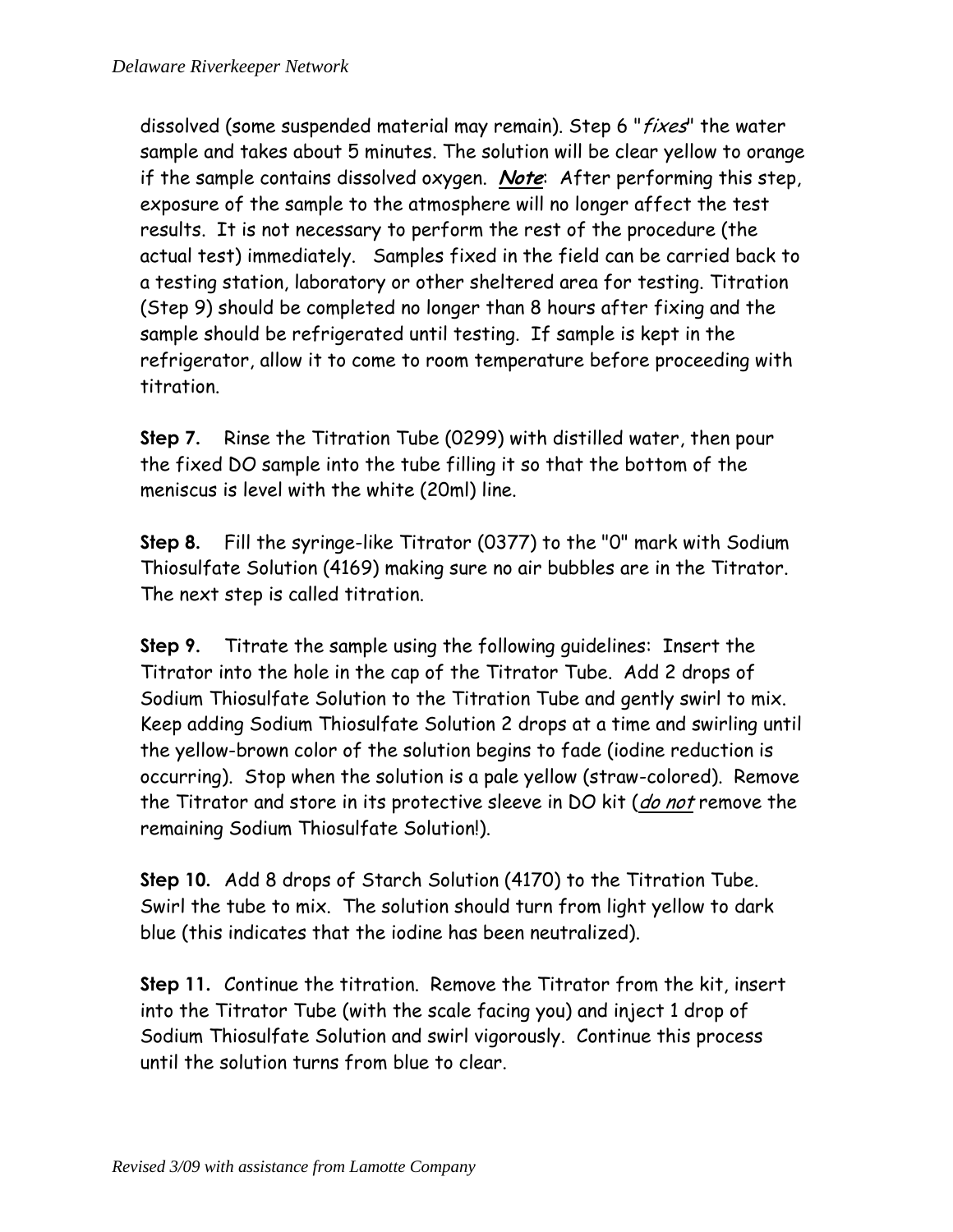dissolved (some suspended material may remain). Step 6 "fixes" the water sample and takes about 5 minutes. The solution will be clear yellow to orange if the sample contains dissolved oxygen. **Note**: After performing this step, exposure of the sample to the atmosphere will no longer affect the test results. It is not necessary to perform the rest of the procedure (the actual test) immediately. Samples fixed in the field can be carried back to a testing station, laboratory or other sheltered area for testing. Titration (Step 9) should be completed no longer than 8 hours after fixing and the sample should be refrigerated until testing. If sample is kept in the refrigerator, allow it to come to room temperature before proceeding with titration.

**Step 7.** Rinse the Titration Tube (0299) with distilled water, then pour the fixed DO sample into the tube filling it so that the bottom of the meniscus is level with the white (20ml) line.

**Step 8.** Fill the syringe-like Titrator (0377) to the "0" mark with Sodium Thiosulfate Solution (4169) making sure no air bubbles are in the Titrator. The next step is called titration.

**Step 9.** Titrate the sample using the following guidelines: Insert the Titrator into the hole in the cap of the Titrator Tube. Add 2 drops of Sodium Thiosulfate Solution to the Titration Tube and gently swirl to mix. Keep adding Sodium Thiosulfate Solution 2 drops at a time and swirling until the yellow-brown color of the solution begins to fade (iodine reduction is occurring). Stop when the solution is a pale yellow (straw-colored). Remove the Titrator and store in its protective sleeve in DO kit (do not remove the remaining Sodium Thiosulfate Solution!).

**Step 10.** Add 8 drops of Starch Solution (4170) to the Titration Tube. Swirl the tube to mix. The solution should turn from light yellow to dark blue (this indicates that the iodine has been neutralized).

**Step 11.** Continue the titration. Remove the Titrator from the kit, insert into the Titrator Tube (with the scale facing you) and inject 1 drop of Sodium Thiosulfate Solution and swirl vigorously. Continue this process until the solution turns from blue to clear.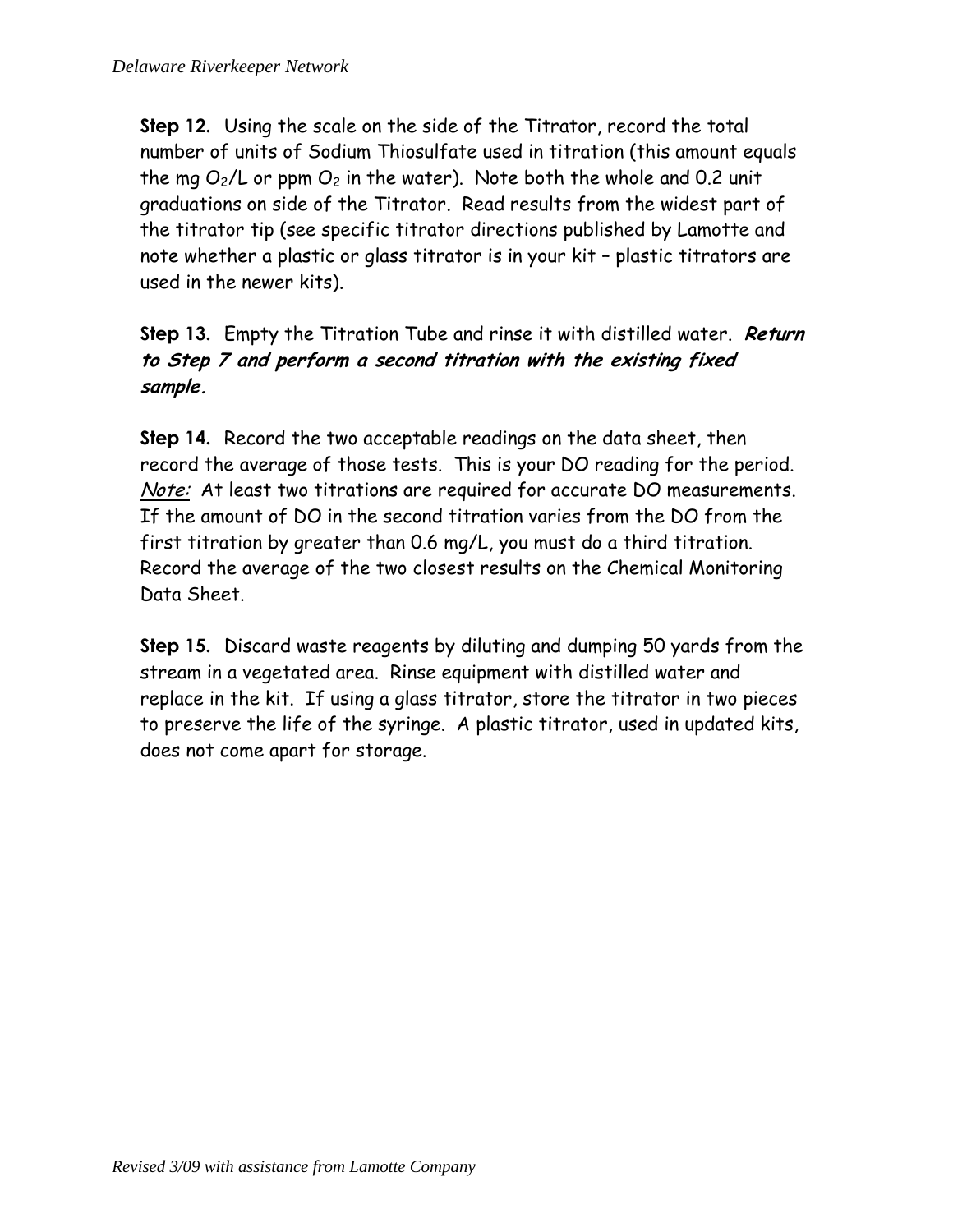**Step 12.** Using the scale on the side of the Titrator, record the total number of units of Sodium Thiosulfate used in titration (this amount equals the mg  $O_2/L$  or ppm  $O_2$  in the water). Note both the whole and 0.2 unit graduations on side of the Titrator. Read results from the widest part of the titrator tip (see specific titrator directions published by Lamotte and note whether a plastic or glass titrator is in your kit – plastic titrators are used in the newer kits).

**Step 13.** Empty the Titration Tube and rinse it with distilled water. **Return to Step 7 and perform a second titration with the existing fixed sample.**

**Step 14.** Record the two acceptable readings on the data sheet, then record the average of those tests. This is your DO reading for the period. Note: At least two titrations are required for accurate DO measurements. If the amount of DO in the second titration varies from the DO from the first titration by greater than 0.6 mg/L, you must do a third titration. Record the average of the two closest results on the Chemical Monitoring Data Sheet.

**Step 15.** Discard waste reagents by diluting and dumping 50 yards from the stream in a vegetated area. Rinse equipment with distilled water and replace in the kit. If using a glass titrator, store the titrator in two pieces to preserve the life of the syringe. A plastic titrator, used in updated kits, does not come apart for storage.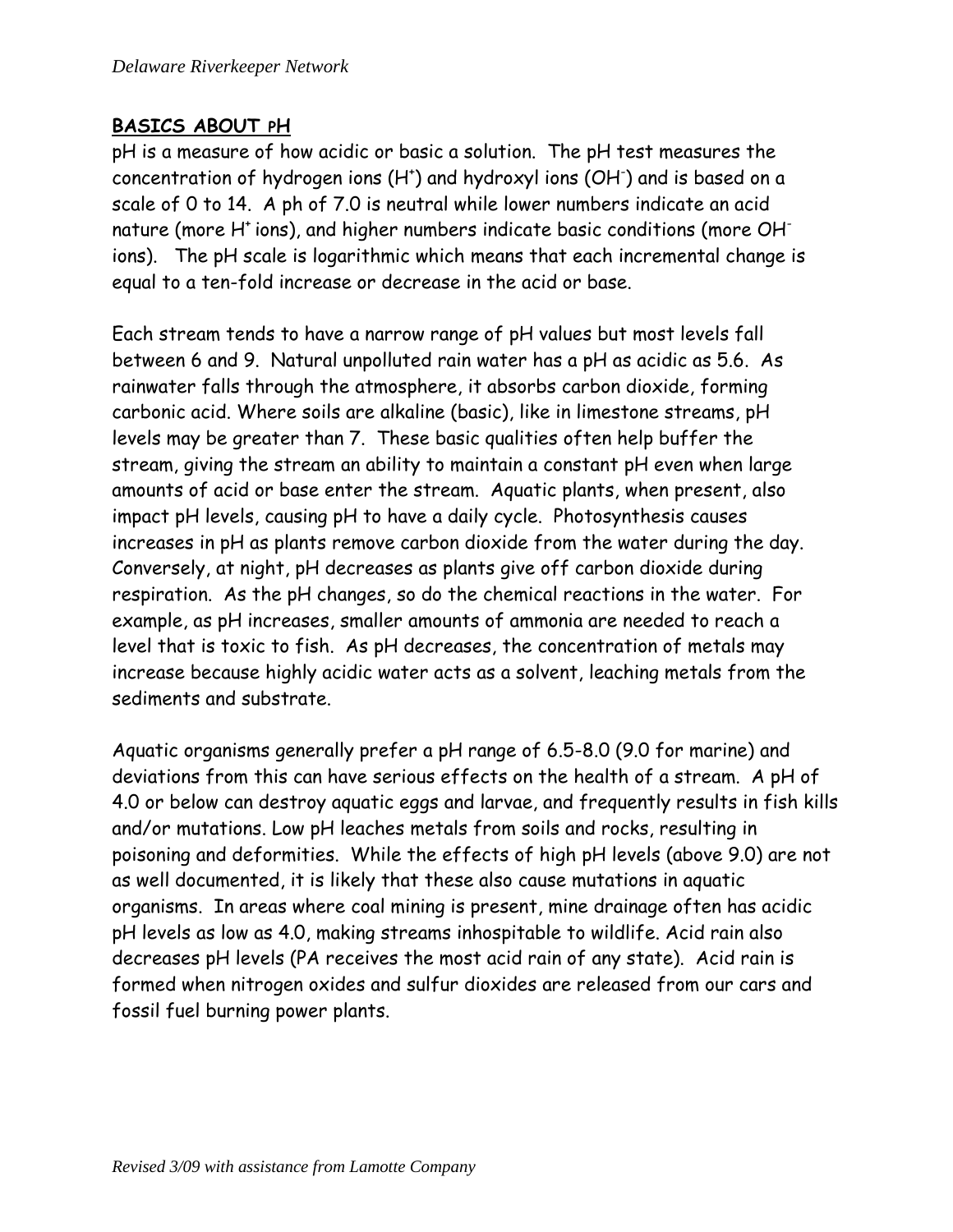#### **BASICS ABOUT PH**

pH is a measure of how acidic or basic a solution. The pH test measures the concentration of hydrogen ions (H<sup>+</sup>) and hydroxyl ions (OH<sup>-</sup>) and is based on a scale of 0 to 14. A ph of 7.0 is neutral while lower numbers indicate an acid nature (more H<sup>+</sup> ions), and higher numbers indicate basic conditions (more OH<sup>-</sup> ions). The pH scale is logarithmic which means that each incremental change is equal to a ten-fold increase or decrease in the acid or base.

Each stream tends to have a narrow range of pH values but most levels fall between 6 and 9. Natural unpolluted rain water has a pH as acidic as 5.6. As rainwater falls through the atmosphere, it absorbs carbon dioxide, forming carbonic acid. Where soils are alkaline (basic), like in limestone streams, pH levels may be greater than 7. These basic qualities often help buffer the stream, giving the stream an ability to maintain a constant pH even when large amounts of acid or base enter the stream. Aquatic plants, when present, also impact pH levels, causing pH to have a daily cycle. Photosynthesis causes increases in pH as plants remove carbon dioxide from the water during the day. Conversely, at night, pH decreases as plants give off carbon dioxide during respiration. As the pH changes, so do the chemical reactions in the water. For example, as pH increases, smaller amounts of ammonia are needed to reach a level that is toxic to fish. As pH decreases, the concentration of metals may increase because highly acidic water acts as a solvent, leaching metals from the sediments and substrate.

Aquatic organisms generally prefer a pH range of 6.5-8.0 (9.0 for marine) and deviations from this can have serious effects on the health of a stream. A pH of 4.0 or below can destroy aquatic eggs and larvae, and frequently results in fish kills and/or mutations. Low pH leaches metals from soils and rocks, resulting in poisoning and deformities. While the effects of high pH levels (above 9.0) are not as well documented, it is likely that these also cause mutations in aquatic organisms. In areas where coal mining is present, mine drainage often has acidic pH levels as low as 4.0, making streams inhospitable to wildlife. Acid rain also decreases pH levels (PA receives the most acid rain of any state). Acid rain is formed when nitrogen oxides and sulfur dioxides are released from our cars and fossil fuel burning power plants.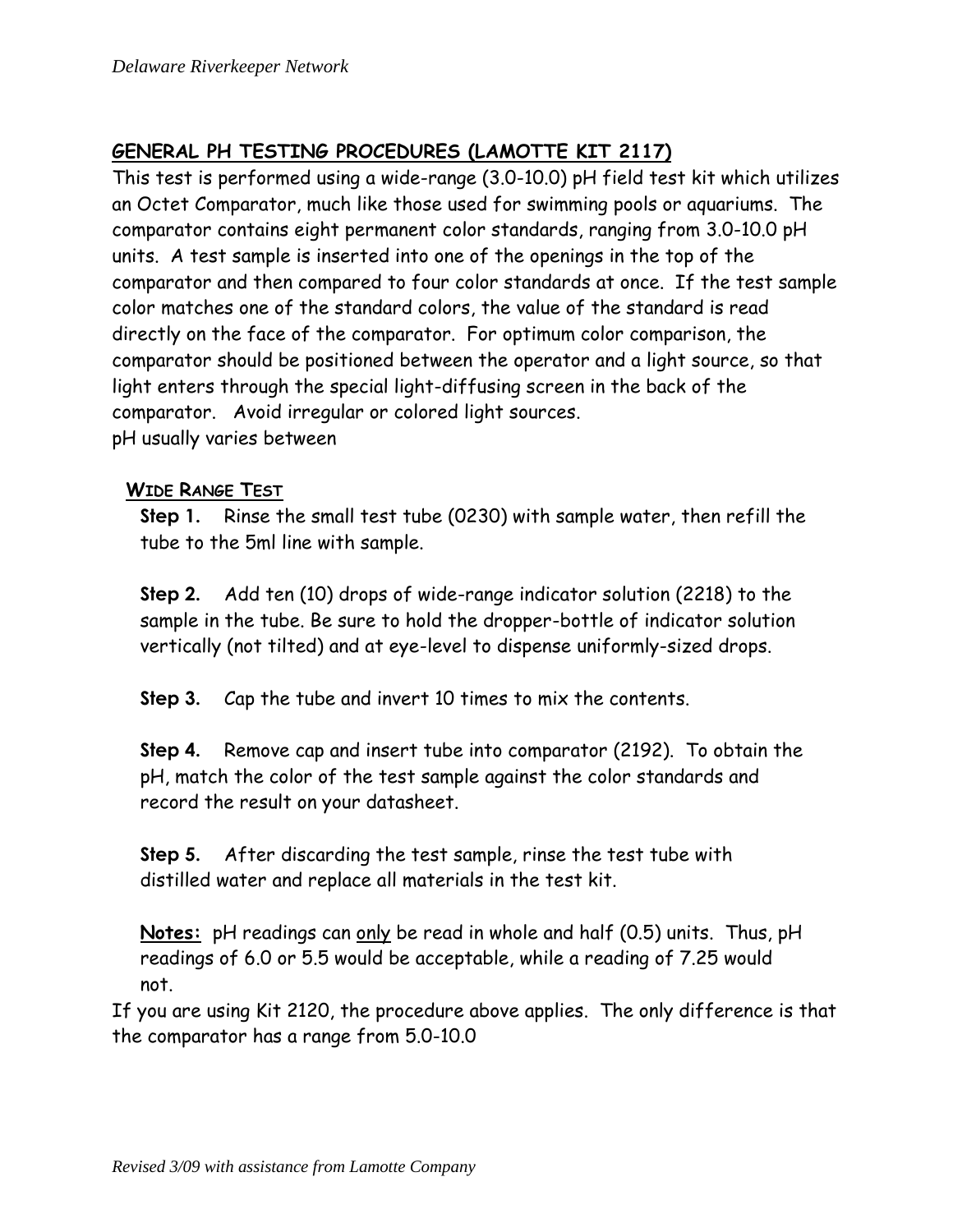# **GENERAL PH TESTING PROCEDURES (LAMOTTE KIT 2117)**

This test is performed using a wide-range (3.0-10.0) pH field test kit which utilizes an Octet Comparator, much like those used for swimming pools or aquariums. The comparator contains eight permanent color standards, ranging from 3.0-10.0 pH units. A test sample is inserted into one of the openings in the top of the comparator and then compared to four color standards at once. If the test sample color matches one of the standard colors, the value of the standard is read directly on the face of the comparator. For optimum color comparison, the comparator should be positioned between the operator and a light source, so that light enters through the special light-diffusing screen in the back of the comparator. Avoid irregular or colored light sources. pH usually varies between

#### **WIDE RANGE TEST**

**Step 1.** Rinse the small test tube (0230) with sample water, then refill the tube to the 5ml line with sample.

**Step 2.** Add ten (10) drops of wide-range indicator solution (2218) to the sample in the tube. Be sure to hold the dropper-bottle of indicator solution vertically (not tilted) and at eye-level to dispense uniformly-sized drops.

**Step 3.** Cap the tube and invert 10 times to mix the contents.

**Step 4.** Remove cap and insert tube into comparator (2192). To obtain the pH, match the color of the test sample against the color standards and record the result on your datasheet.

**Step 5.** After discarding the test sample, rinse the test tube with distilled water and replace all materials in the test kit.

**Notes:** pH readings can only be read in whole and half (0.5) units. Thus, pH readings of 6.0 or 5.5 would be acceptable, while a reading of 7.25 would not.

If you are using Kit 2120, the procedure above applies. The only difference is that the comparator has a range from 5.0-10.0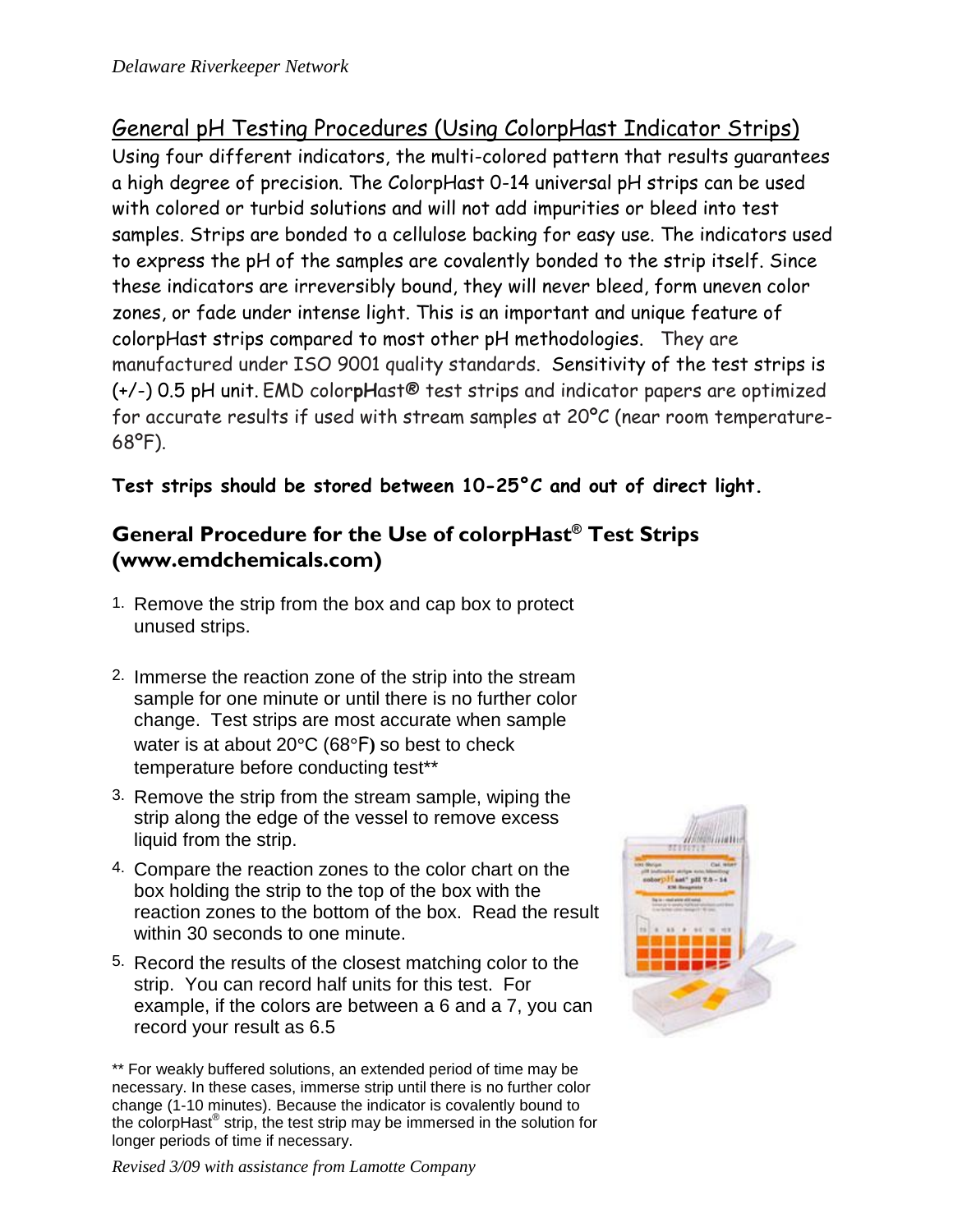General pH Testing Procedures (Using ColorpHast Indicator Strips) Using four different indicators, the multi-colored pattern that results guarantees a high degree of precision. The ColorpHast 0-14 universal pH strips can be used with colored or turbid solutions and will not add impurities or bleed into test samples. Strips are bonded to a cellulose backing for easy use. The indicators used to express the pH of the samples are covalently bonded to the strip itself. Since these indicators are irreversibly bound, they will never bleed, form uneven color zones, or fade under intense light. This is an important and unique feature of colorpHast strips compared to most other pH methodologies. They are manufactured under ISO 9001 quality standards. Sensitivity of the test strips is (+/-) 0.5 pH unit. EMD color**pH**ast® test strips and indicator papers are optimized for accurate results if used with stream samples at 20ºC (near room temperature-68ºF).

**Test strips should be stored between 10-25°C and out of direct light.**

# **General Procedure for the Use of colorpHast® Test Strips (www.emdchemicals.com)**

- 1. Remove the strip from the box and cap box to protect unused strips.
- 2. Immerse the reaction zone of the strip into the stream sample for one minute or until there is no further color change. Test strips are most accurate when sample water is at about 20**°**C (68**°**F**)** so best to check temperature before conducting test\*\*
- 3. Remove the strip from the stream sample, wiping the strip along the edge of the vessel to remove excess liquid from the strip.
- 4. Compare the reaction zones to the color chart on the box holding the strip to the top of the box with the reaction zones to the bottom of the box. Read the result within 30 seconds to one minute.
- 5. Record the results of the closest matching color to the strip. You can record half units for this test. For example, if the colors are between a 6 and a 7, you can record your result as 6.5

<sup>\*\*</sup> For weakly buffered solutions, an extended period of time may be necessary. In these cases, immerse strip until there is no further color change (1-10 minutes). Because the indicator is covalently bound to the colorpHast® strip, the test strip may be immersed in the solution for longer periods of time if necessary.



*Revised 3/09 with assistance from Lamotte Company*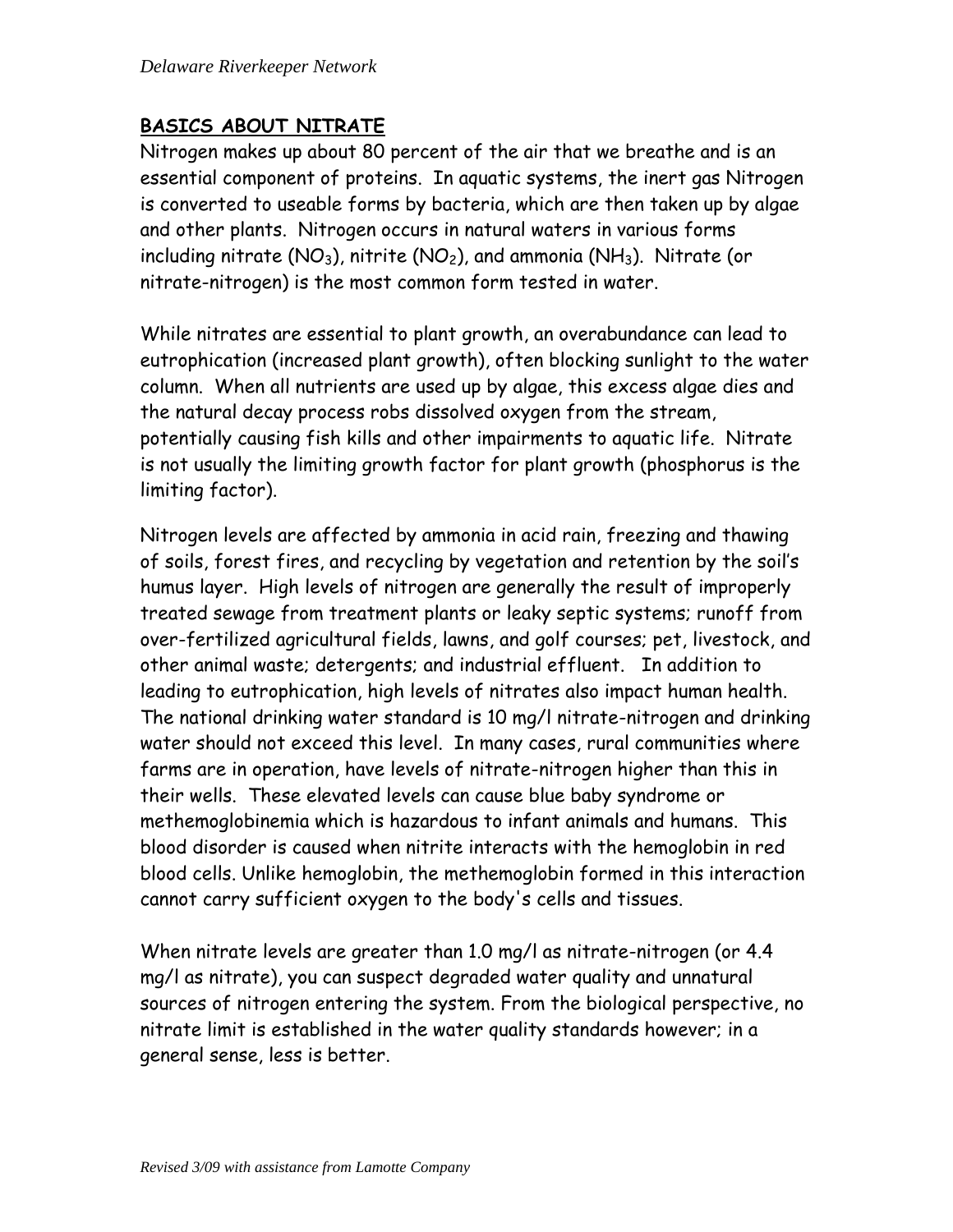#### **BASICS ABOUT NITRATE**

Nitrogen makes up about 80 percent of the air that we breathe and is an essential component of proteins. In aquatic systems, the inert gas Nitrogen is converted to useable forms by bacteria, which are then taken up by algae and other plants. Nitrogen occurs in natural waters in various forms including nitrate ( $NO<sub>3</sub>$ ), nitrite ( $NO<sub>2</sub>$ ), and ammonia ( $NH<sub>3</sub>$ ). Nitrate (or nitrate-nitrogen) is the most common form tested in water.

While nitrates are essential to plant growth, an overabundance can lead to eutrophication (increased plant growth), often blocking sunlight to the water column. When all nutrients are used up by algae, this excess algae dies and the natural decay process robs dissolved oxygen from the stream, potentially causing fish kills and other impairments to aquatic life. Nitrate is not usually the limiting growth factor for plant growth (phosphorus is the limiting factor).

Nitrogen levels are affected by ammonia in acid rain, freezing and thawing of soils, forest fires, and recycling by vegetation and retention by the soil's humus layer. High levels of nitrogen are generally the result of improperly treated sewage from treatment plants or leaky septic systems; runoff from over-fertilized agricultural fields, lawns, and golf courses; pet, livestock, and other animal waste; detergents; and industrial effluent. In addition to leading to eutrophication, high levels of nitrates also impact human health. The national drinking water standard is 10 mg/l nitrate-nitrogen and drinking water should not exceed this level. In many cases, rural communities where farms are in operation, have levels of nitrate-nitrogen higher than this in their wells. These elevated levels can cause blue baby syndrome or methemoglobinemia which is hazardous to infant animals and humans. This blood disorder is caused when nitrite interacts with the hemoglobin in red blood cells. Unlike hemoglobin, the methemoglobin formed in this interaction cannot carry sufficient oxygen to the body's cells and tissues.

When nitrate levels are greater than 1.0 mg/l as nitrate-nitrogen (or 4.4 mg/l as nitrate), you can suspect degraded water quality and unnatural sources of nitrogen entering the system. From the biological perspective, no nitrate limit is established in the water quality standards however; in a general sense, less is better.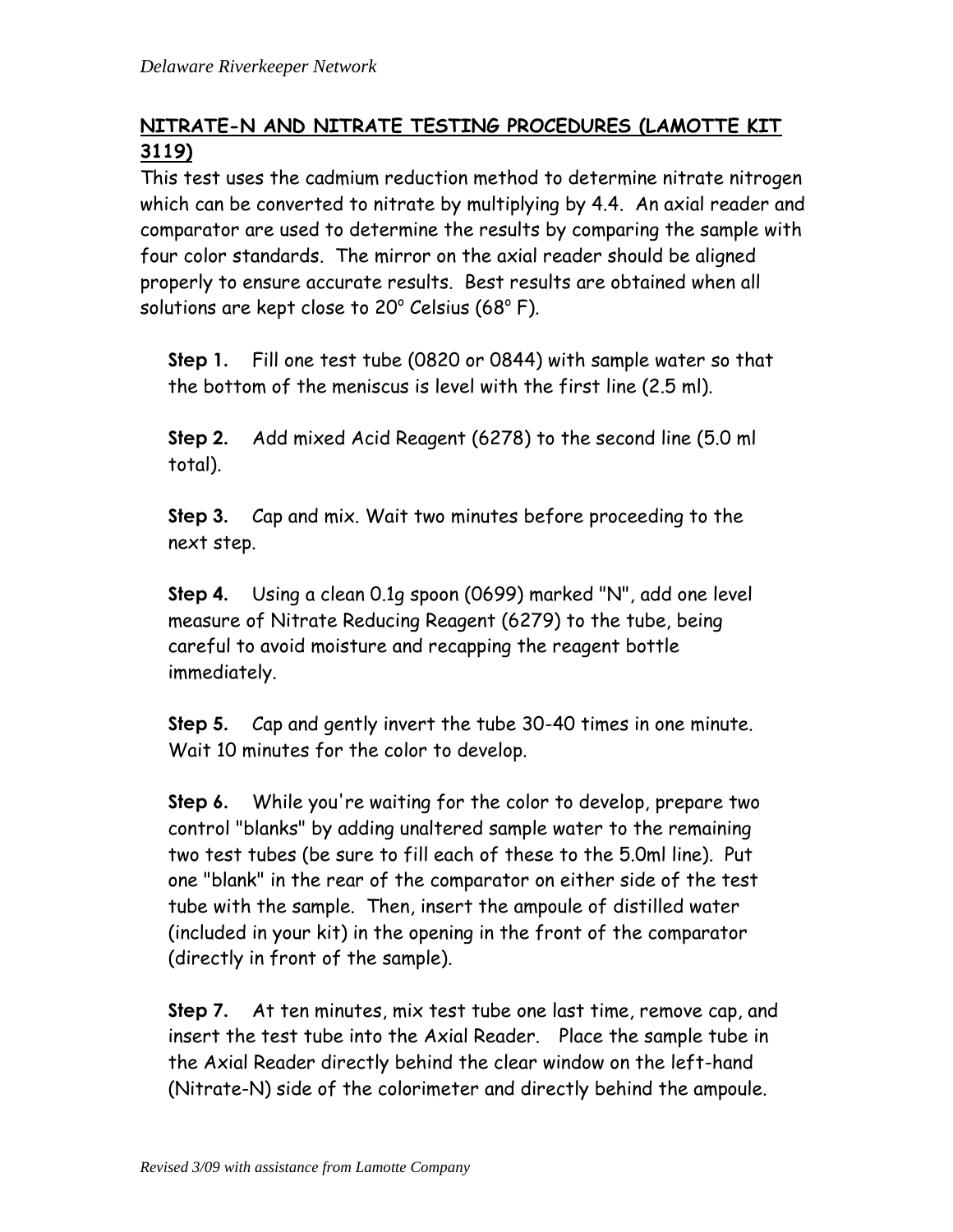# **NITRATE-N AND NITRATE TESTING PROCEDURES (LAMOTTE KIT 3119)**

This test uses the cadmium reduction method to determine nitrate nitrogen which can be converted to nitrate by multiplying by 4.4. An axial reader and comparator are used to determine the results by comparing the sample with four color standards. The mirror on the axial reader should be aligned properly to ensure accurate results. Best results are obtained when all solutions are kept close to 20 $^{\circ}$  Celsius (68 $^{\circ}$  F).

**Step 1.** Fill one test tube (0820 or 0844) with sample water so that the bottom of the meniscus is level with the first line (2.5 ml).

**Step 2.** Add mixed Acid Reagent (6278) to the second line (5.0 ml total).

**Step 3.** Cap and mix. Wait two minutes before proceeding to the next step.

**Step 4.** Using a clean 0.1g spoon (0699) marked "N", add one level measure of Nitrate Reducing Reagent (6279) to the tube, being careful to avoid moisture and recapping the reagent bottle immediately.

**Step 5.** Cap and gently invert the tube 30-40 times in one minute. Wait 10 minutes for the color to develop.

**Step 6.** While you're waiting for the color to develop, prepare two control "blanks" by adding unaltered sample water to the remaining two test tubes (be sure to fill each of these to the 5.0ml line). Put one "blank" in the rear of the comparator on either side of the test tube with the sample. Then, insert the ampoule of distilled water (included in your kit) in the opening in the front of the comparator (directly in front of the sample).

**Step 7.** At ten minutes, mix test tube one last time, remove cap, and insert the test tube into the Axial Reader.Place the sample tube in the Axial Reader directly behind the clear window on the left-hand (Nitrate-N) side of the colorimeter and directly behind the ampoule.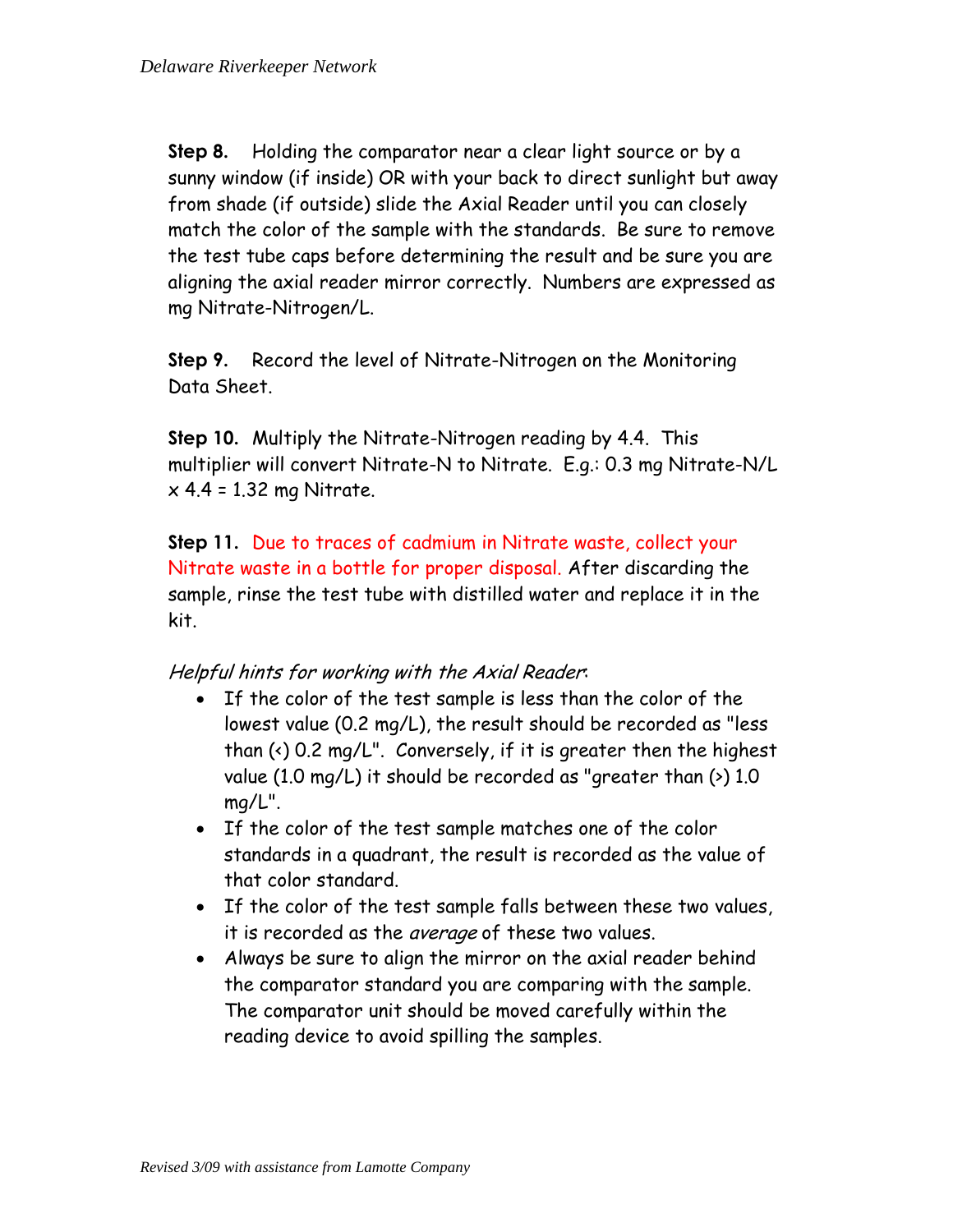**Step 8.** Holding the comparator near a clear light source or by a sunny window (if inside) OR with your back to direct sunlight but away from shade (if outside) slide the Axial Reader until you can closely match the color of the sample with the standards. Be sure to remove the test tube caps before determining the result and be sure you are aligning the axial reader mirror correctly. Numbers are expressed as mg Nitrate-Nitrogen/L.

**Step 9.** Record the level of Nitrate-Nitrogen on the Monitoring Data Sheet.

**Step 10.** Multiply the Nitrate-Nitrogen reading by 4.4. This multiplier will convert Nitrate-N to Nitrate. E.g.: 0.3 mg Nitrate-N/L  $x$  4.4 = 1.32 mg Nitrate.

**Step 11.** Due to traces of cadmium in Nitrate waste, collect your Nitrate waste in a bottle for proper disposal. After discarding the sample, rinse the test tube with distilled water and replace it in the kit.

#### Helpful hints for working with the Axial Reader:

- If the color of the test sample is less than the color of the lowest value (0.2 mg/L), the result should be recorded as "less than  $($   $\cdot$ ) 0.2 mg/L". Conversely, if it is greater then the highest value (1.0 mg/L) it should be recorded as "greater than  $($ ) 1.0 mg/L".
- If the color of the test sample matches one of the color standards in a quadrant, the result is recorded as the value of that color standard.
- If the color of the test sample falls between these two values, it is recorded as the *average* of these two values.
- Always be sure to align the mirror on the axial reader behind the comparator standard you are comparing with the sample. The comparator unit should be moved carefully within the reading device to avoid spilling the samples.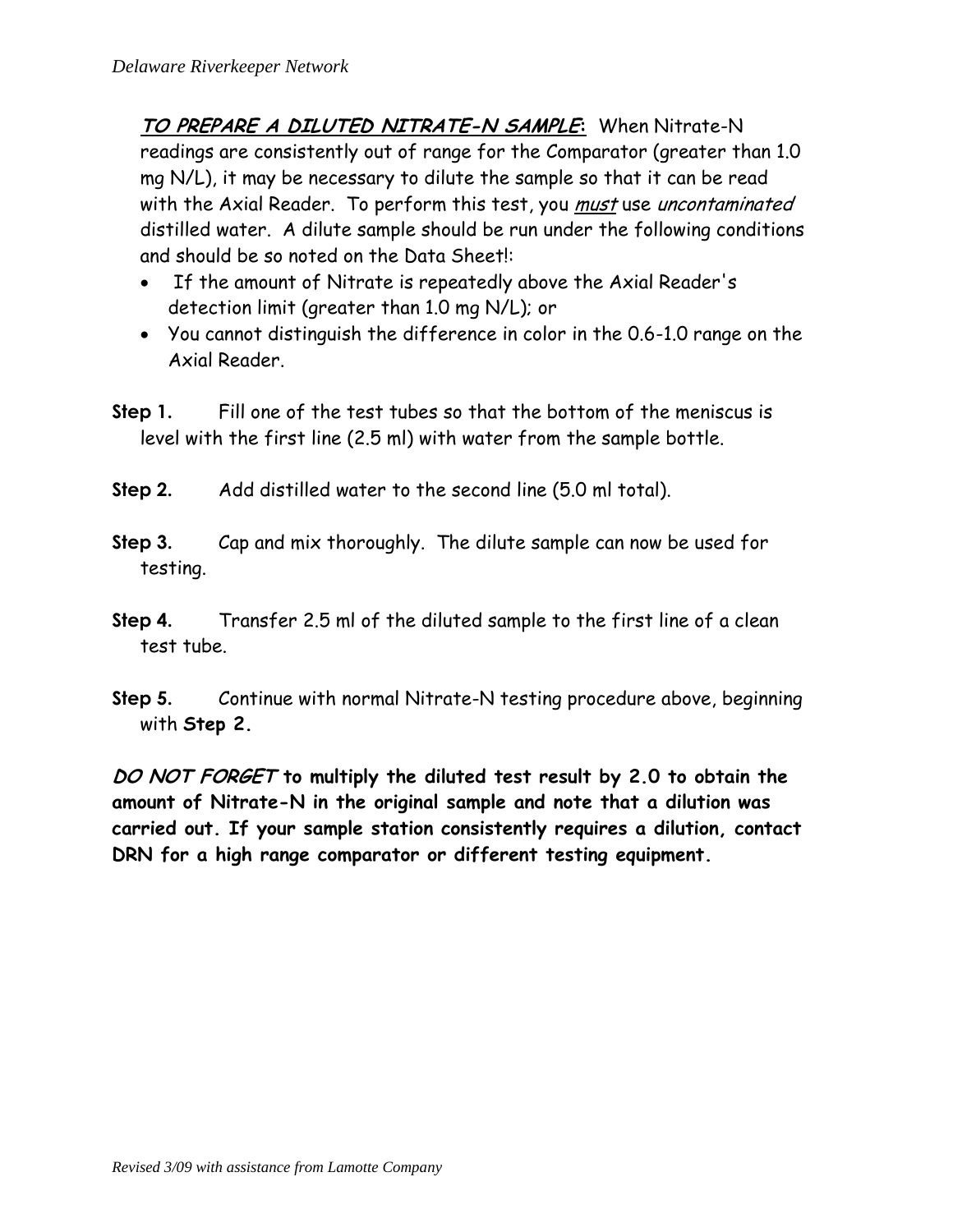**TO PREPARE A DILUTED NITRATE-N SAMPLE:** When Nitrate-N readings are consistently out of range for the Comparator (greater than 1.0 mg N/L), it may be necessary to dilute the sample so that it can be read with the Axial Reader. To perform this test, you <u>must</u> use *uncontaminated* distilled water. A dilute sample should be run under the following conditions and should be so noted on the Data Sheet!:

- If the amount of Nitrate is repeatedly above the Axial Reader's detection limit (greater than 1.0 mg N/L); or
- You cannot distinguish the difference in color in the 0.6-1.0 range on the Axial Reader.
- **Step 1.** Fill one of the test tubes so that the bottom of the meniscus is level with the first line (2.5 ml) with water from the sample bottle.
- **Step 2.** Add distilled water to the second line (5.0 ml total).
- **Step 3.** Cap and mix thoroughly. The dilute sample can now be used for testing.
- **Step 4.** Transfer 2.5 ml of the diluted sample to the first line of a clean test tube.
- **Step 5.** Continue with normal Nitrate-N testing procedure above, beginning with **Step 2.**

**DO NOT FORGET to multiply the diluted test result by 2.0 to obtain the amount of Nitrate-N in the original sample and note that a dilution was carried out. If your sample station consistently requires a dilution, contact DRN for a high range comparator or different testing equipment.**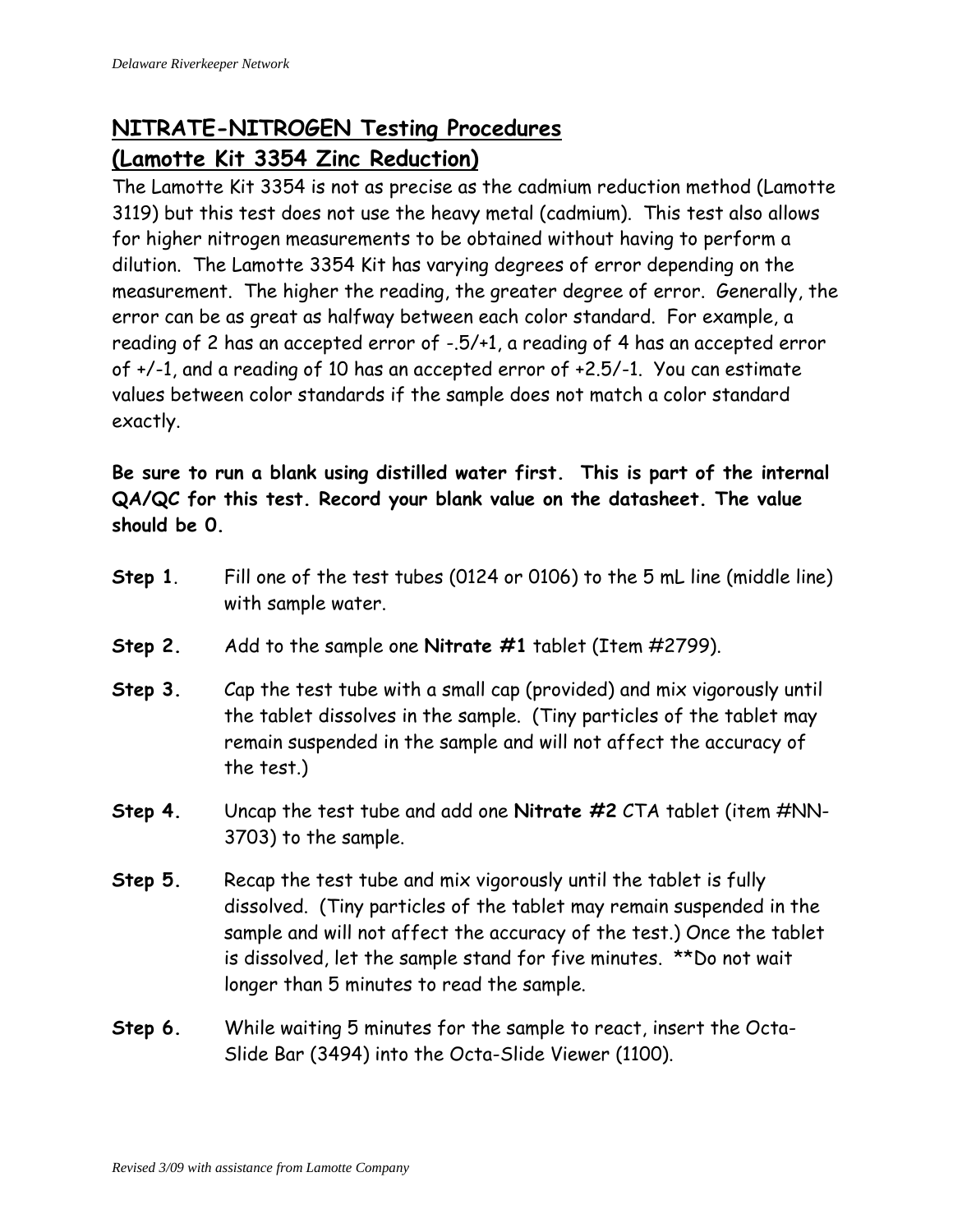# **NITRATE-NITROGEN Testing Procedures (Lamotte Kit 3354 Zinc Reduction)**

The Lamotte Kit 3354 is not as precise as the cadmium reduction method (Lamotte 3119) but this test does not use the heavy metal (cadmium). This test also allows for higher nitrogen measurements to be obtained without having to perform a dilution. The Lamotte 3354 Kit has varying degrees of error depending on the measurement. The higher the reading, the greater degree of error. Generally, the error can be as great as halfway between each color standard. For example, a reading of 2 has an accepted error of -.5/+1, a reading of 4 has an accepted error of +/-1, and a reading of 10 has an accepted error of +2.5/-1. You can estimate values between color standards if the sample does not match a color standard exactly.

**Be sure to run a blank using distilled water first. This is part of the internal QA/QC for this test. Record your blank value on the datasheet. The value should be 0.**

- **Step 1**. Fill one of the test tubes (0124 or 0106) to the 5 mL line (middle line) with sample water.
- **Step 2.** Add to the sample one **Nitrate #1** tablet (Item #2799).
- **Step 3.** Cap the test tube with a small cap (provided) and mix vigorously until the tablet dissolves in the sample. (Tiny particles of the tablet may remain suspended in the sample and will not affect the accuracy of the test.)
- **Step 4.** Uncap the test tube and add one **Nitrate #2** CTA tablet (item #NN-3703) to the sample.
- **Step 5.** Recap the test tube and mix vigorously until the tablet is fully dissolved. (Tiny particles of the tablet may remain suspended in the sample and will not affect the accuracy of the test.) Once the tablet is dissolved, let the sample stand for five minutes. \*\*Do not wait longer than 5 minutes to read the sample.
- **Step 6.** While waiting 5 minutes for the sample to react, insert the Octa-Slide Bar (3494) into the Octa-Slide Viewer (1100).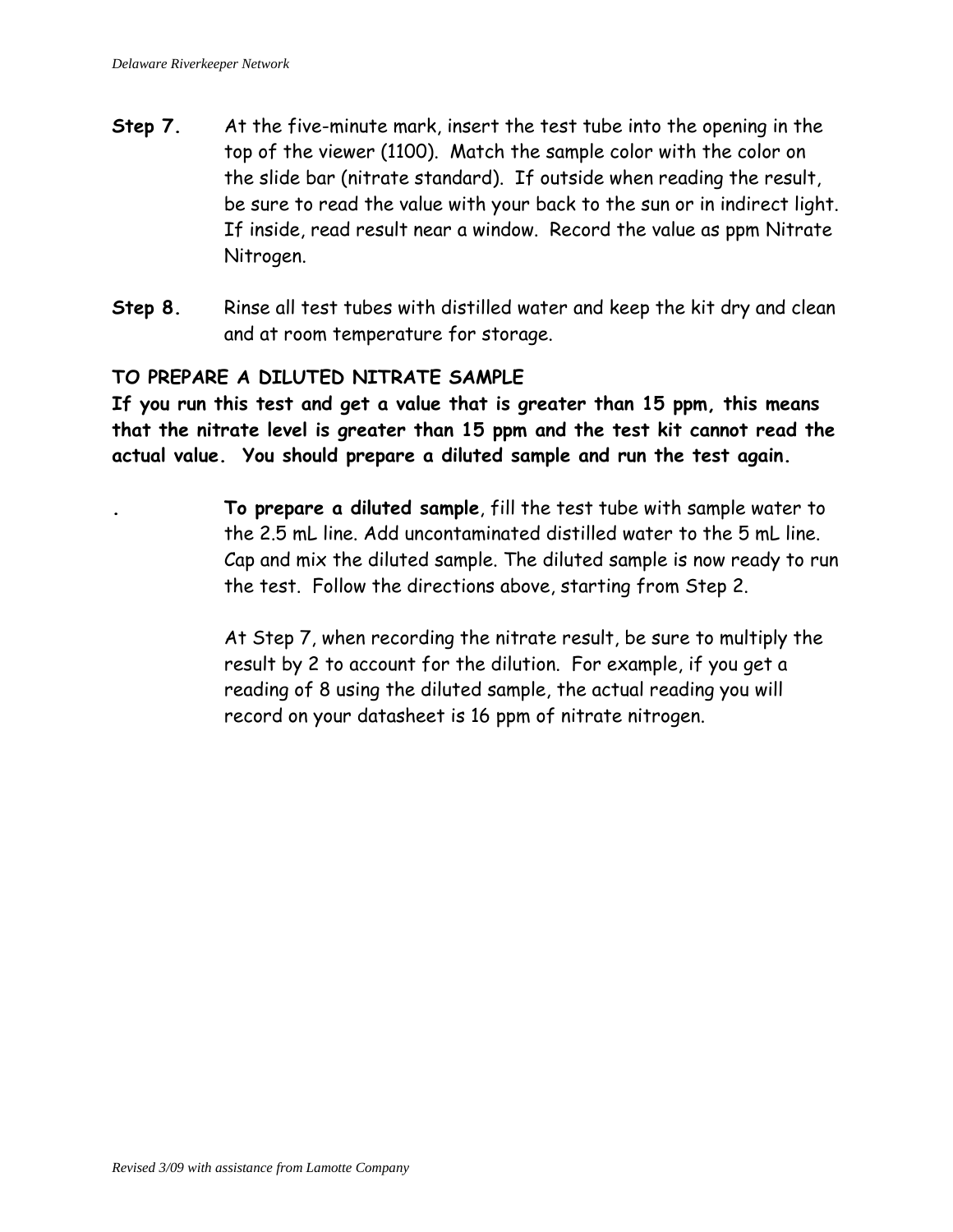- **Step 7.** At the five-minute mark, insert the test tube into the opening in the top of the viewer (1100). Match the sample color with the color on the slide bar (nitrate standard). If outside when reading the result, be sure to read the value with your back to the sun or in indirect light. If inside, read result near a window. Record the value as ppm Nitrate Nitrogen.
- **Step 8.** Rinse all test tubes with distilled water and keep the kit dry and clean and at room temperature for storage.

#### **TO PREPARE A DILUTED NITRATE SAMPLE**

**If you run this test and get a value that is greater than 15 ppm, this means that the nitrate level is greater than 15 ppm and the test kit cannot read the actual value. You should prepare a diluted sample and run the test again.**

> **. To prepare a diluted sample**, fill the test tube with sample water to the 2.5 mL line. Add uncontaminated distilled water to the 5 mL line. Cap and mix the diluted sample. The diluted sample is now ready to run the test. Follow the directions above, starting from Step 2.

At Step 7, when recording the nitrate result, be sure to multiply the result by 2 to account for the dilution. For example, if you get a reading of 8 using the diluted sample, the actual reading you will record on your datasheet is 16 ppm of nitrate nitrogen.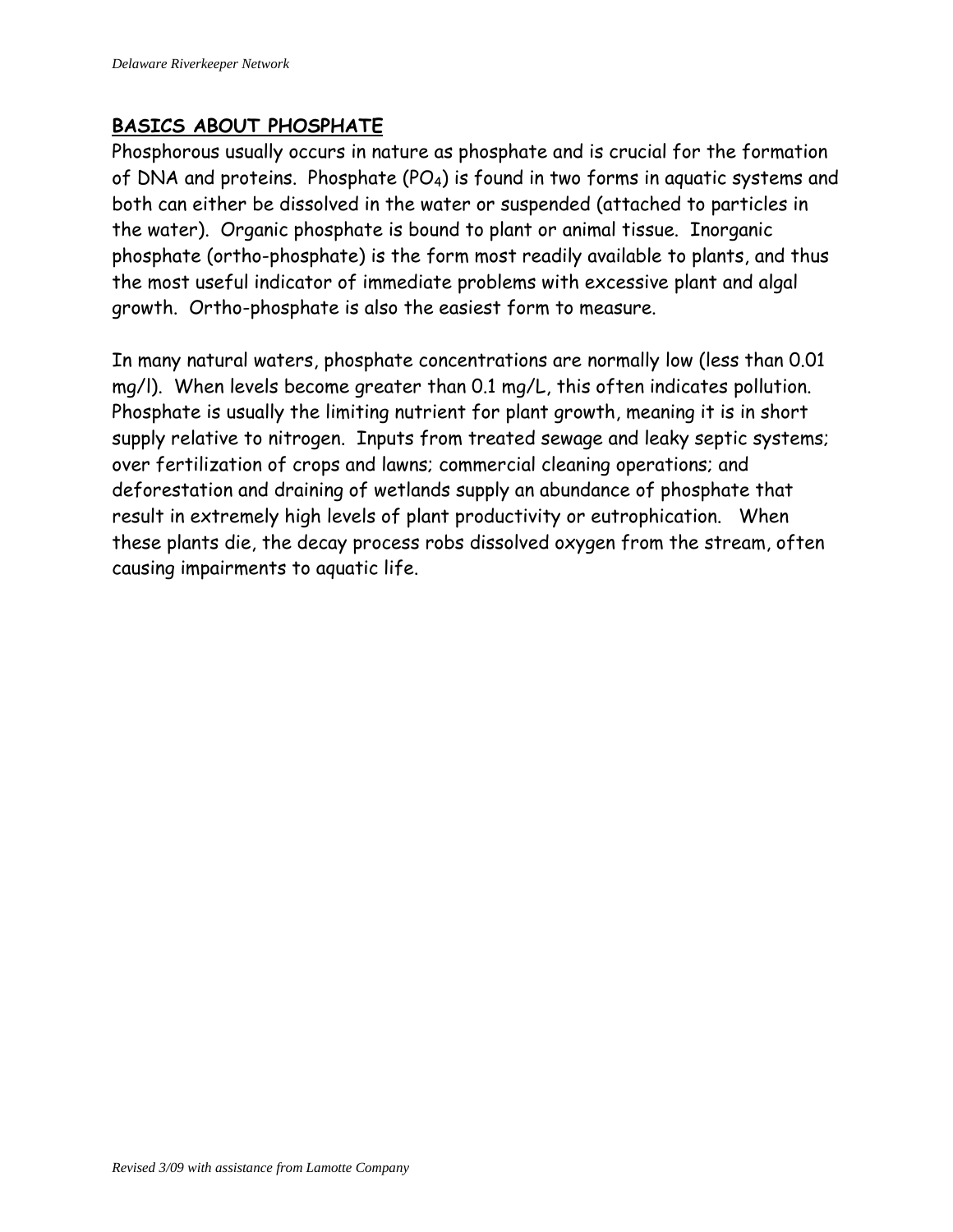#### **BASICS ABOUT PHOSPHATE**

Phosphorous usually occurs in nature as phosphate and is crucial for the formation of DNA and proteins. Phosphate (PO4) is found in two forms in aquatic systems and both can either be dissolved in the water or suspended (attached to particles in the water). Organic phosphate is bound to plant or animal tissue. Inorganic phosphate (ortho-phosphate) is the form most readily available to plants, and thus the most useful indicator of immediate problems with excessive plant and algal growth. Ortho-phosphate is also the easiest form to measure.

In many natural waters, phosphate concentrations are normally low (less than 0.01 mg/l). When levels become greater than 0.1 mg/L, this often indicates pollution. Phosphate is usually the limiting nutrient for plant growth, meaning it is in short supply relative to nitrogen. Inputs from treated sewage and leaky septic systems; over fertilization of crops and lawns; commercial cleaning operations; and deforestation and draining of wetlands supply an abundance of phosphate that result in extremely high levels of plant productivity or eutrophication. When these plants die, the decay process robs dissolved oxygen from the stream, often causing impairments to aquatic life.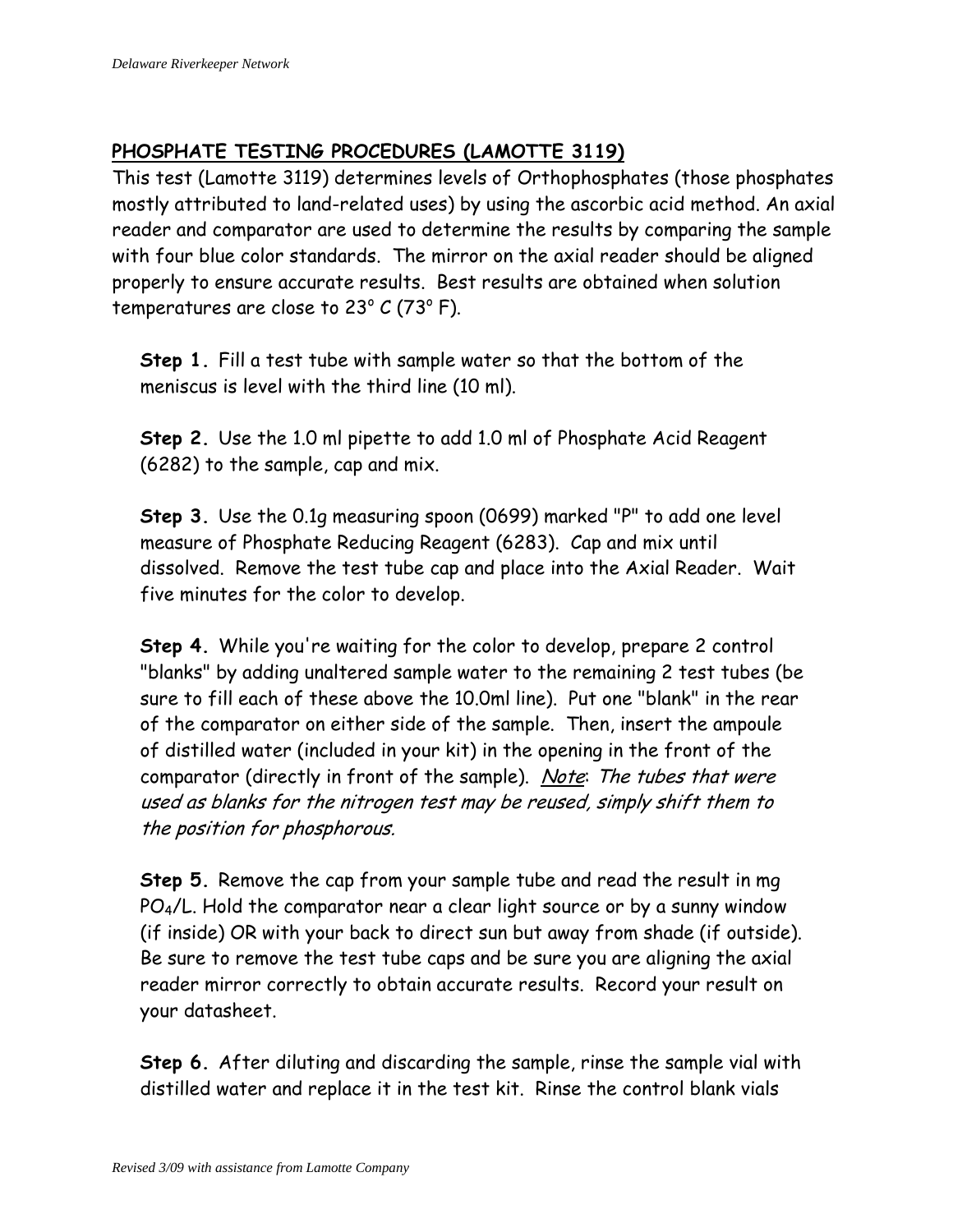# **PHOSPHATE TESTING PROCEDURES (LAMOTTE 3119)**

This test (Lamotte 3119) determines levels of Orthophosphates (those phosphates mostly attributed to land-related uses) by using the ascorbic acid method. An axial reader and comparator are used to determine the results by comparing the sample with four blue color standards. The mirror on the axial reader should be aligned properly to ensure accurate results. Best results are obtained when solution temperatures are close to 23 $^{\circ}$  C (73 $^{\circ}$  F).

**Step 1.** Fill a test tube with sample water so that the bottom of the meniscus is level with the third line (10 ml).

**Step 2.** Use the 1.0 ml pipette to add 1.0 ml of Phosphate Acid Reagent (6282) to the sample, cap and mix.

**Step 3.** Use the 0.1g measuring spoon (0699) marked "P" to add one level measure of Phosphate Reducing Reagent (6283). Cap and mix until dissolved. Remove the test tube cap and place into the Axial Reader. Wait five minutes for the color to develop.

**Step 4.** While you're waiting for the color to develop, prepare 2 control "blanks" by adding unaltered sample water to the remaining 2 test tubes (be sure to fill each of these above the 10.0ml line). Put one "blank" in the rear of the comparator on either side of the sample. Then, insert the ampoule of distilled water (included in your kit) in the opening in the front of the comparator (directly in front of the sample). Note: The tubes that were used as blanks for the nitrogen test may be reused, simply shift them to the position for phosphorous.

**Step 5.** Remove the cap from your sample tube and read the result in mg PO4/L. Hold the comparator near a clear light source or by a sunny window (if inside) OR with your back to direct sun but away from shade (if outside). Be sure to remove the test tube caps and be sure you are aligning the axial reader mirror correctly to obtain accurate results. Record your result on your datasheet.

**Step 6.** After diluting and discarding the sample, rinse the sample vial with distilled water and replace it in the test kit. Rinse the control blank vials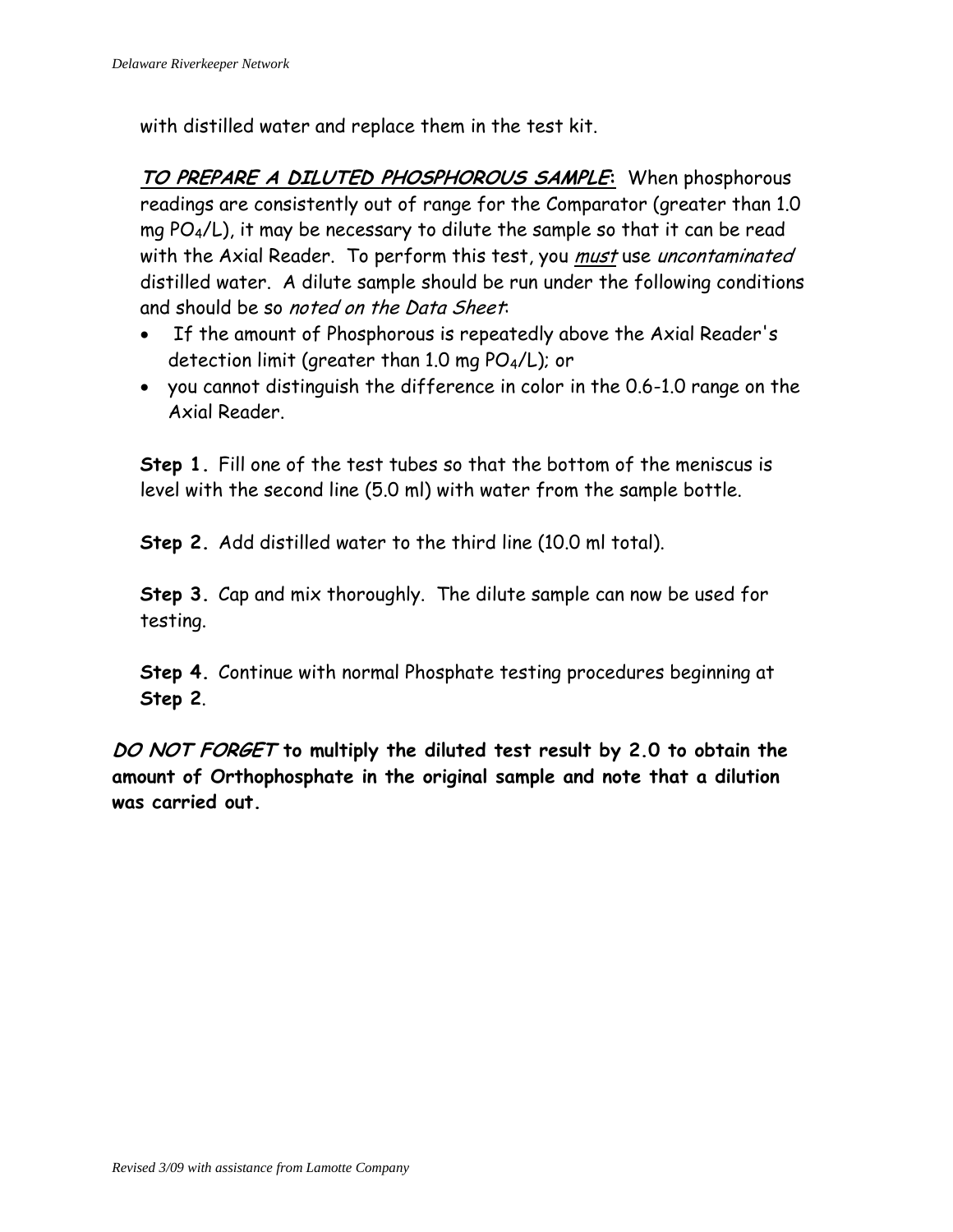with distilled water and replace them in the test kit.

**TO PREPARE A DILUTED PHOSPHOROUS SAMPLE:** When phosphorous readings are consistently out of range for the Comparator (greater than 1.0 mg  $PO_4/L$ ), it may be necessary to dilute the sample so that it can be read with the Axial Reader. To perform this test, you must use uncontaminated distilled water. A dilute sample should be run under the following conditions and should be so noted on the Data Sheet.

- If the amount of Phosphorous is repeatedly above the Axial Reader's detection limit (greater than 1.0 mg PO4/L); or
- you cannot distinguish the difference in color in the 0.6-1.0 range on the Axial Reader.

**Step 1.** Fill one of the test tubes so that the bottom of the meniscus is level with the second line (5.0 ml) with water from the sample bottle.

**Step 2.** Add distilled water to the third line (10.0 ml total).

**Step 3.** Cap and mix thoroughly. The dilute sample can now be used for testing.

**Step 4.** Continue with normal Phosphate testing procedures beginning at **Step 2**.

**DO NOT FORGET to multiply the diluted test result by 2.0 to obtain the amount of Orthophosphate in the original sample and note that a dilution was carried out.**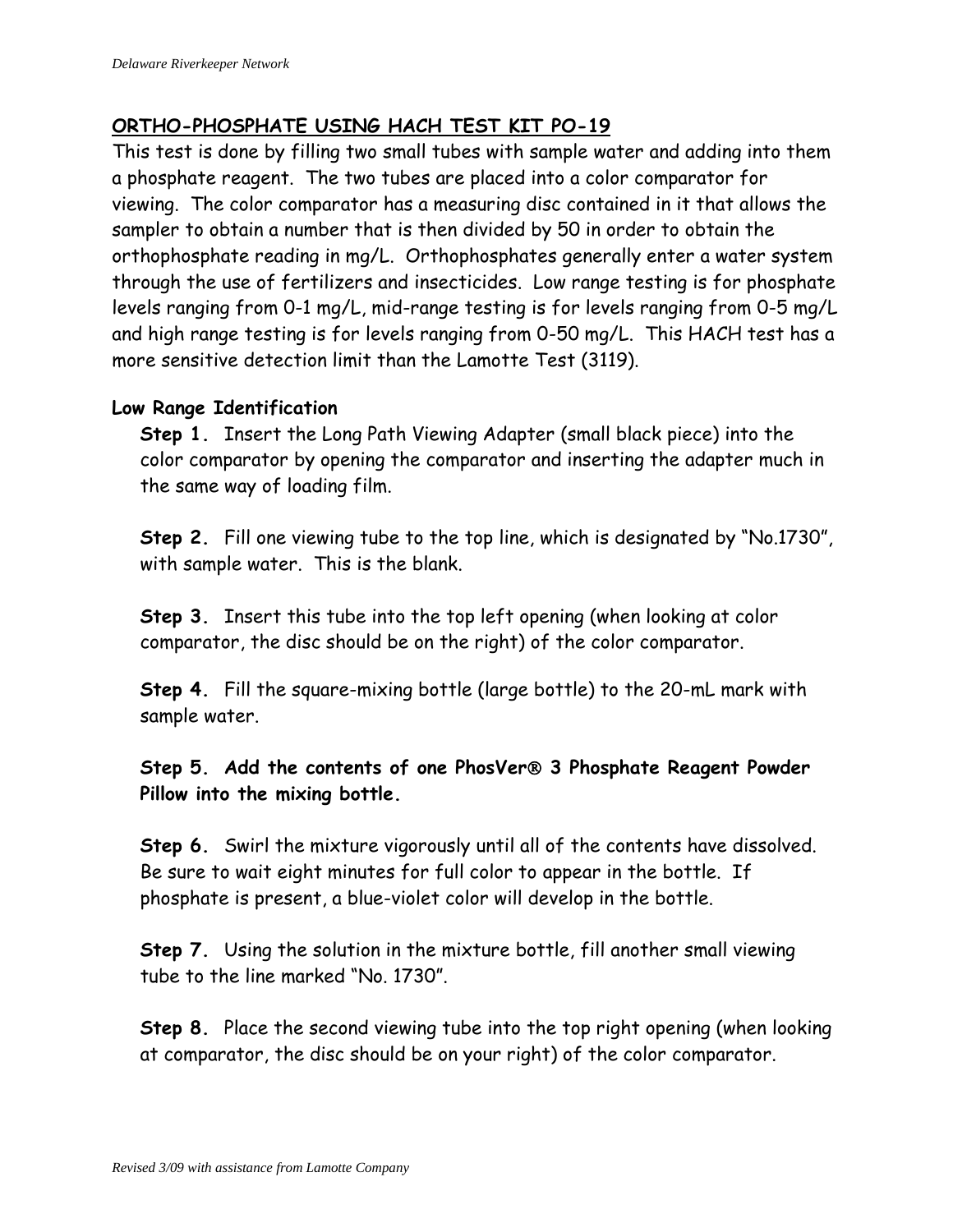#### **ORTHO-PHOSPHATE USING HACH TEST KIT PO-19**

This test is done by filling two small tubes with sample water and adding into them a phosphate reagent. The two tubes are placed into a color comparator for viewing. The color comparator has a measuring disc contained in it that allows the sampler to obtain a number that is then divided by 50 in order to obtain the orthophosphate reading in mg/L. Orthophosphates generally enter a water system through the use of fertilizers and insecticides. Low range testing is for phosphate levels ranging from 0-1 mg/L, mid-range testing is for levels ranging from 0-5 mg/L and high range testing is for levels ranging from 0-50 mg/L. This HACH test has a more sensitive detection limit than the Lamotte Test (3119).

#### **Low Range Identification**

**Step 1.** Insert the Long Path Viewing Adapter (small black piece) into the color comparator by opening the comparator and inserting the adapter much in the same way of loading film.

**Step 2.** Fill one viewing tube to the top line, which is designated by "No.1730", with sample water. This is the blank.

**Step 3.** Insert this tube into the top left opening (when looking at color comparator, the disc should be on the right) of the color comparator.

**Step 4.** Fill the square-mixing bottle (large bottle) to the 20-mL mark with sample water.

**Step 5. Add the contents of one PhosVer 3 Phosphate Reagent Powder Pillow into the mixing bottle.**

**Step 6.** Swirl the mixture vigorously until all of the contents have dissolved. Be sure to wait eight minutes for full color to appear in the bottle. If phosphate is present, a blue-violet color will develop in the bottle.

**Step 7.** Using the solution in the mixture bottle, fill another small viewing tube to the line marked "No. 1730".

**Step 8.** Place the second viewing tube into the top right opening (when looking at comparator, the disc should be on your right) of the color comparator.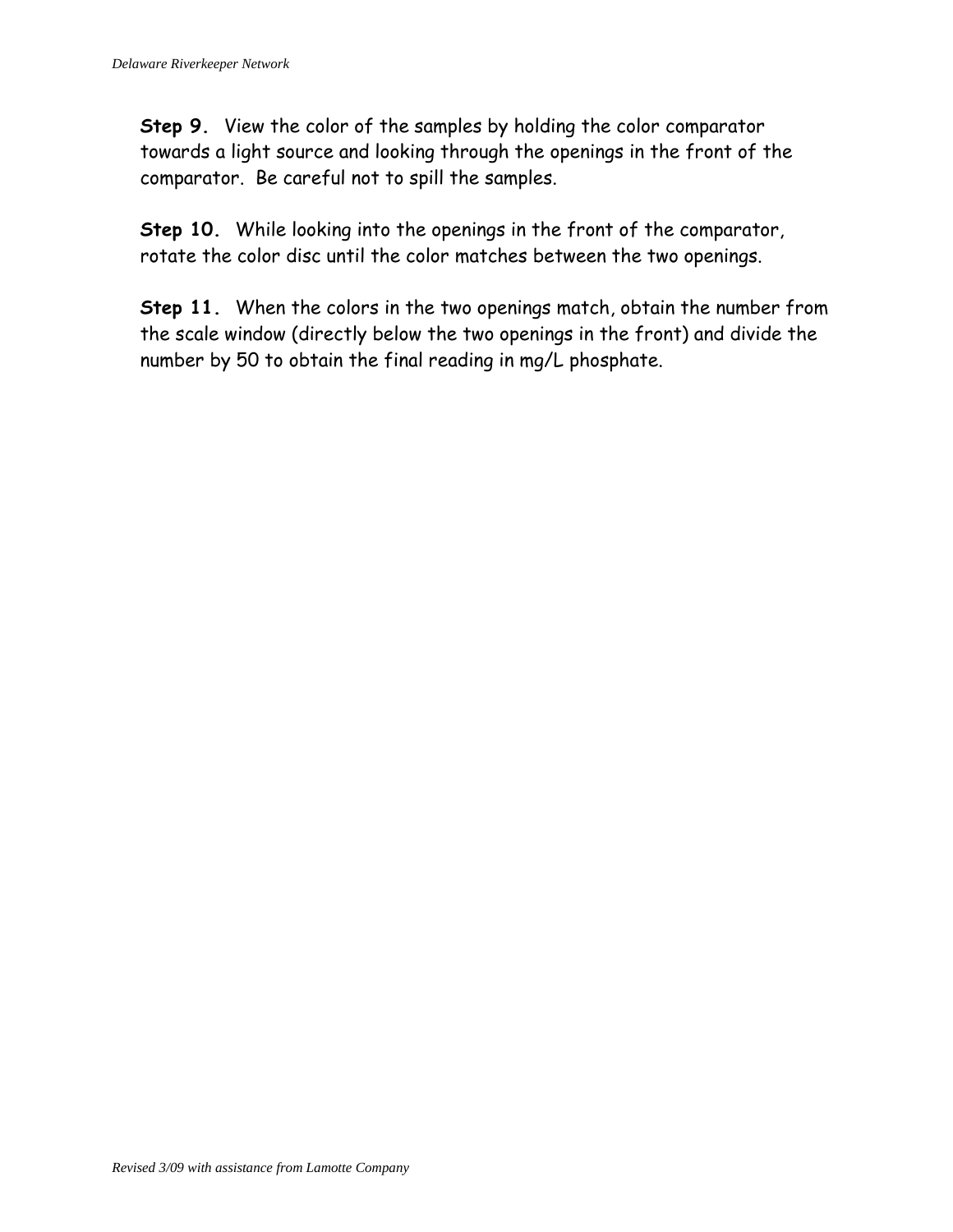**Step 9.** View the color of the samples by holding the color comparator towards a light source and looking through the openings in the front of the comparator. Be careful not to spill the samples.

**Step 10.** While looking into the openings in the front of the comparator, rotate the color disc until the color matches between the two openings.

**Step 11.** When the colors in the two openings match, obtain the number from the scale window (directly below the two openings in the front) and divide the number by 50 to obtain the final reading in mg/L phosphate.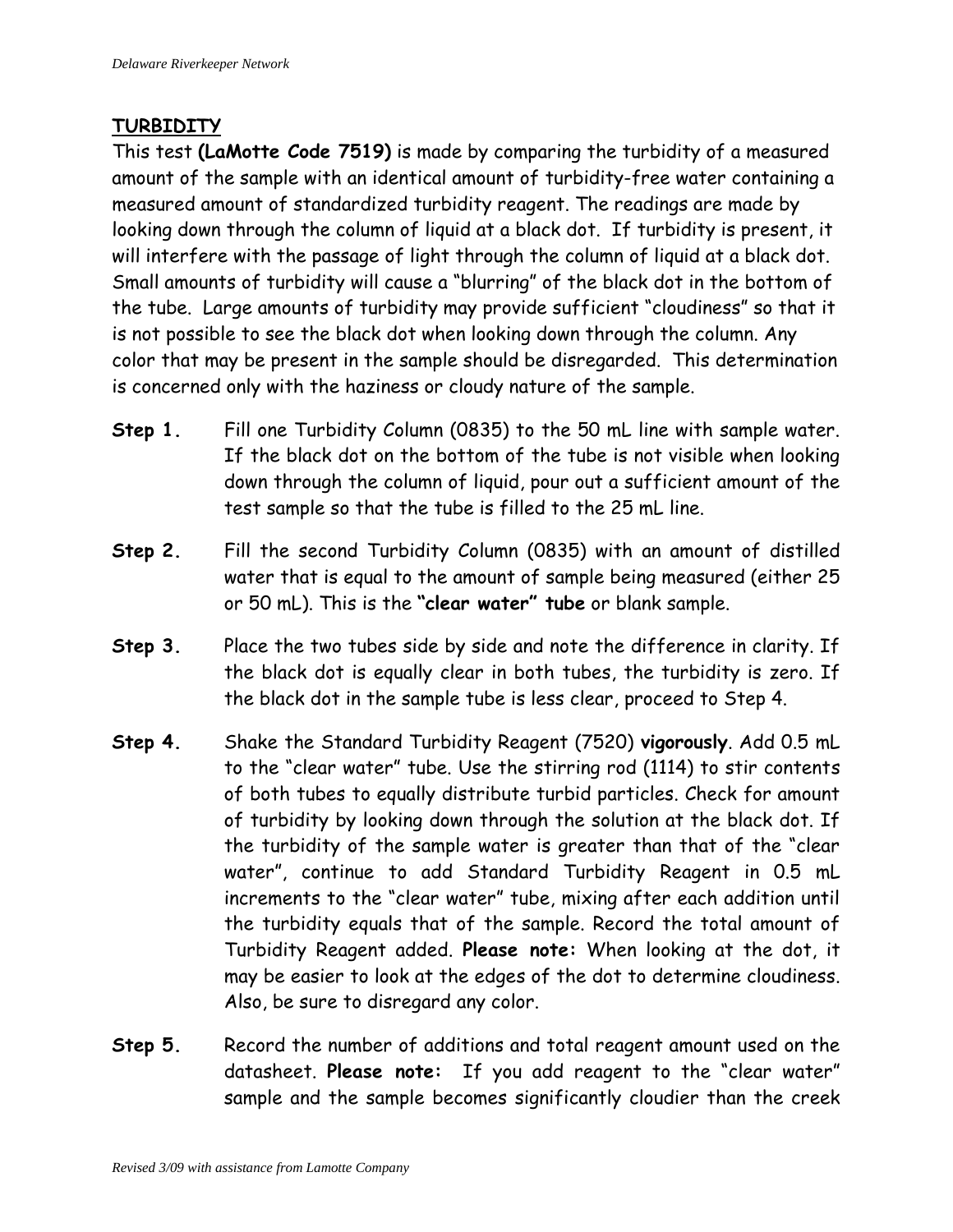#### **TURBIDITY**

This test **(LaMotte Code 7519)** is made by comparing the turbidity of a measured amount of the sample with an identical amount of turbidity-free water containing a measured amount of standardized turbidity reagent. The readings are made by looking down through the column of liquid at a black dot. If turbidity is present, it will interfere with the passage of light through the column of liquid at a black dot. Small amounts of turbidity will cause a "blurring" of the black dot in the bottom of the tube. Large amounts of turbidity may provide sufficient "cloudiness" so that it is not possible to see the black dot when looking down through the column. Any color that may be present in the sample should be disregarded. This determination is concerned only with the haziness or cloudy nature of the sample.

- **Step 1.** Fill one Turbidity Column (0835) to the 50 mL line with sample water. If the black dot on the bottom of the tube is not visible when looking down through the column of liquid, pour out a sufficient amount of the test sample so that the tube is filled to the 25 mL line.
- **Step 2.** Fill the second Turbidity Column (0835) with an amount of distilled water that is equal to the amount of sample being measured (either 25 or 50 mL). This is the **"clear water" tube** or blank sample.
- **Step 3.** Place the two tubes side by side and note the difference in clarity. If the black dot is equally clear in both tubes, the turbidity is zero. If the black dot in the sample tube is less clear, proceed to Step 4.
- **Step 4.** Shake the Standard Turbidity Reagent (7520) **vigorously**. Add 0.5 mL to the "clear water" tube. Use the stirring rod (1114) to stir contents of both tubes to equally distribute turbid particles. Check for amount of turbidity by looking down through the solution at the black dot. If the turbidity of the sample water is greater than that of the "clear water", continue to add Standard Turbidity Reagent in 0.5 mL increments to the "clear water" tube, mixing after each addition until the turbidity equals that of the sample. Record the total amount of Turbidity Reagent added. **Please note:** When looking at the dot, it may be easier to look at the edges of the dot to determine cloudiness. Also, be sure to disregard any color.
- **Step 5.** Record the number of additions and total reagent amount used on the datasheet. **Please note:** If you add reagent to the "clear water" sample and the sample becomes significantly cloudier than the creek